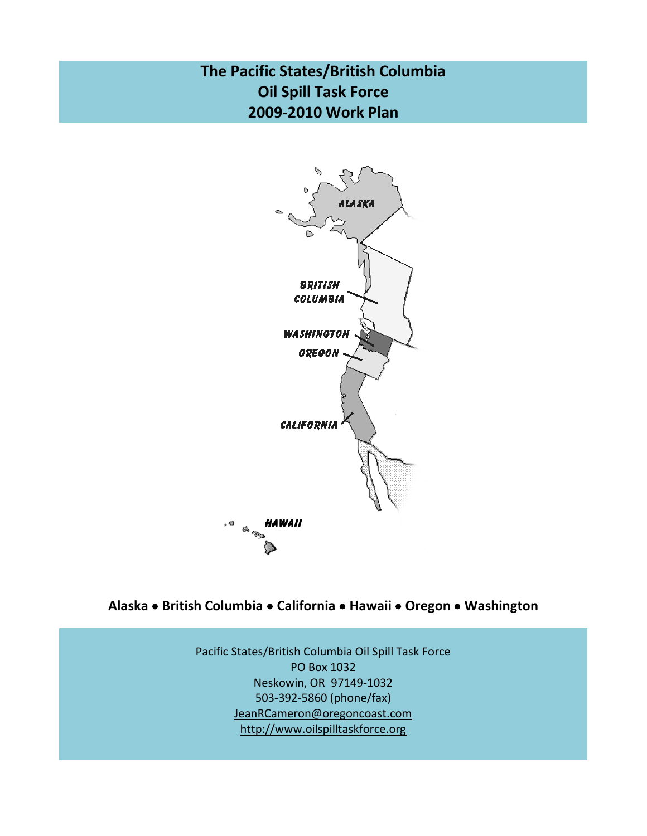# **The Pacific States/British Columbia Oil Spill Task Force 2009-2010 Work Plan**



## **Alaska British Columbia California Hawaii Oregon Washington**

Pacific States/British Columbia Oil Spill Task Force PO Box 1032 Neskowin, OR 97149-1032 503-392-5860 (phone/fax) [JeanRCameron@oregoncoast.com](mailto:JeanRCameron@oregoncoast.com) [http://w](http://wlapwww.gov.bc.ca/eeeb/taskforc/tfhome.htm)ww.oilspilltaskforce.org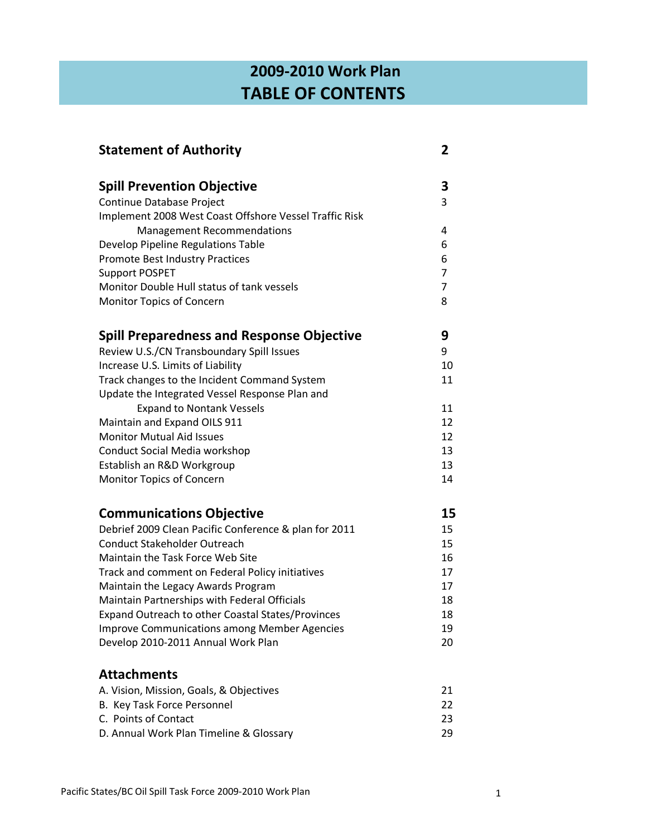# **2009-2010 Work Plan TABLE OF CONTENTS**

| <b>Statement of Authority</b>                          | 2              |
|--------------------------------------------------------|----------------|
| <b>Spill Prevention Objective</b>                      | 3              |
| Continue Database Project                              | 3              |
| Implement 2008 West Coast Offshore Vessel Traffic Risk |                |
| <b>Management Recommendations</b>                      | 4              |
| Develop Pipeline Regulations Table                     | 6              |
| Promote Best Industry Practices                        | 6              |
| <b>Support POSPET</b>                                  | $\overline{7}$ |
| Monitor Double Hull status of tank vessels             | $\overline{7}$ |
| Monitor Topics of Concern                              | 8              |
| <b>Spill Preparedness and Response Objective</b>       | 9              |
| Review U.S./CN Transboundary Spill Issues              | 9              |
| Increase U.S. Limits of Liability                      | 10             |
| Track changes to the Incident Command System           | 11             |
| Update the Integrated Vessel Response Plan and         |                |
| <b>Expand to Nontank Vessels</b>                       | 11             |
| Maintain and Expand OILS 911                           | 12             |
| <b>Monitor Mutual Aid Issues</b>                       | 12             |
| <b>Conduct Social Media workshop</b>                   | 13             |
| Establish an R&D Workgroup                             | 13             |
| Monitor Topics of Concern                              | 14             |
| <b>Communications Objective</b>                        | 15             |
| Debrief 2009 Clean Pacific Conference & plan for 2011  | 15             |
| <b>Conduct Stakeholder Outreach</b>                    | 15             |
| Maintain the Task Force Web Site                       | 16             |
| Track and comment on Federal Policy initiatives        | 17             |
| Maintain the Legacy Awards Program                     | 17             |
| Maintain Partnerships with Federal Officials           | 18             |
| Expand Outreach to other Coastal States/Provinces      | 18             |
| <b>Improve Communications among Member Agencies</b>    | 19             |
| Develop 2010-2011 Annual Work Plan                     | 20             |
| <b>Attachments</b>                                     |                |
| A. Vision, Mission, Goals, & Objectives                | 21             |
| B. Key Task Force Personnel                            | 22             |
| C. Points of Contact                                   | 23             |
| D. Annual Work Plan Timeline & Glossary                | 29             |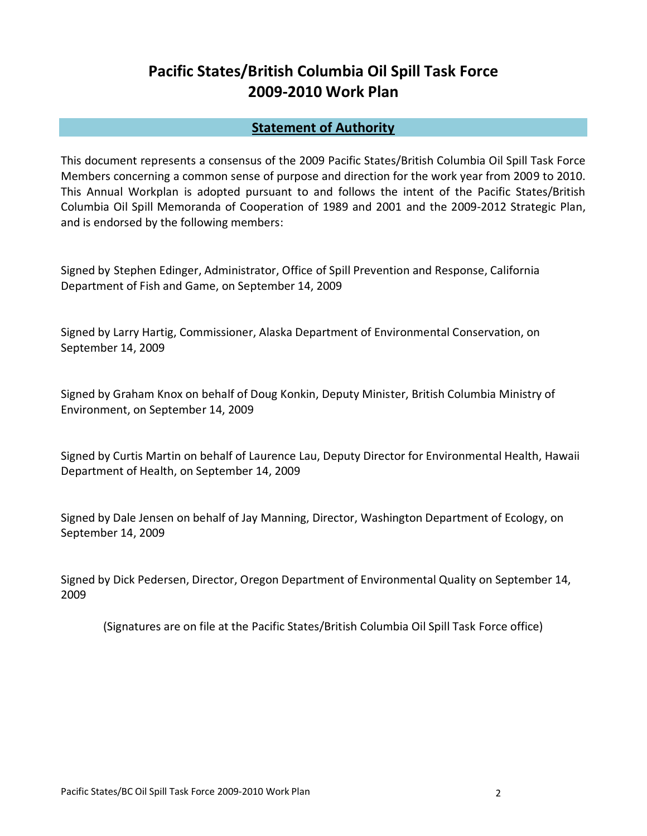# **Pacific States/British Columbia Oil Spill Task Force 2009-2010 Work Plan**

### **Statement of Authority**

This document represents a consensus of the 2009 Pacific States/British Columbia Oil Spill Task Force Members concerning a common sense of purpose and direction for the work year from 2009 to 2010. This Annual Workplan is adopted pursuant to and follows the intent of the Pacific States/British Columbia Oil Spill Memoranda of Cooperation of 1989 and 2001 and the 2009-2012 Strategic Plan, and is endorsed by the following members:

Signed by Stephen Edinger, Administrator, Office of Spill Prevention and Response, California Department of Fish and Game, on September 14, 2009

Signed by Larry Hartig, Commissioner, Alaska Department of Environmental Conservation, on September 14, 2009

Signed by Graham Knox on behalf of Doug Konkin, Deputy Minister, British Columbia Ministry of Environment, on September 14, 2009

Signed by Curtis Martin on behalf of Laurence Lau, Deputy Director for Environmental Health, Hawaii Department of Health, on September 14, 2009

Signed by Dale Jensen on behalf of Jay Manning, Director, Washington Department of Ecology, on September 14, 2009

Signed by Dick Pedersen, Director, Oregon Department of Environmental Quality on September 14, 2009

(Signatures are on file at the Pacific States/British Columbia Oil Spill Task Force office)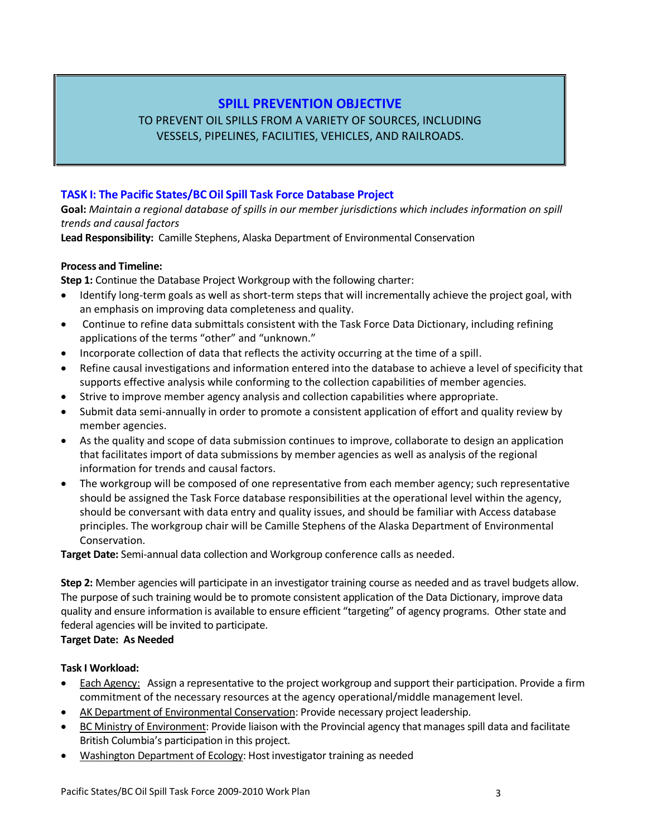### **SPILL PREVENTION OBJECTIVE**

### TO PREVENT OIL SPILLS FROM A VARIETY OF SOURCES, INCLUDING VESSELS, PIPELINES, FACILITIES, VEHICLES, AND RAILROADS.

#### **TASK I: The Pacific States/BC Oil Spill Task Force Database Project**

**Goal:** *Maintain a regional database of spills in our member jurisdictions which includes information on spill trends and causal factors* 

**Lead Responsibility:** Camille Stephens, Alaska Department of Environmental Conservation

#### **Process and Timeline:**

**Step 1:** Continue the Database Project Workgroup with the following charter:

- Identify long-term goals as well as short-term steps that will incrementally achieve the project goal, with an emphasis on improving data completeness and quality.
- Continue to refine data submittals consistent with the Task Force Data Dictionary, including refining applications of the terms "other" and "unknown."
- Incorporate collection of data that reflects the activity occurring at the time of a spill.
- Refine causal investigations and information entered into the database to achieve a level of specificity that supports effective analysis while conforming to the collection capabilities of member agencies.
- Strive to improve member agency analysis and collection capabilities where appropriate.
- Submit data semi-annually in order to promote a consistent application of effort and quality review by member agencies.
- As the quality and scope of data submission continues to improve, collaborate to design an application that facilitates import of data submissions by member agencies as well as analysis of the regional information for trends and causal factors.
- The workgroup will be composed of one representative from each member agency; such representative should be assigned the Task Force database responsibilities at the operational level within the agency, should be conversant with data entry and quality issues, and should be familiar with Access database principles. The workgroup chair will be Camille Stephens of the Alaska Department of Environmental Conservation.

**Target Date:** Semi-annual data collection and Workgroup conference calls as needed.

**Step 2:** Member agencies will participate in an investigator training course as needed and as travel budgets allow. The purpose of such training would be to promote consistent application of the Data Dictionary, improve data quality and ensure information is available to ensure efficient "targeting" of agency programs. Other state and federal agencies will be invited to participate.

### **Target Date: As Needed**

#### **Task I Workload:**

- Each Agency: Assign a representative to the project workgroup and support their participation. Provide a firm commitment of the necessary resources at the agency operational/middle management level.
- AK Department of Environmental Conservation: Provide necessary project leadership.
- BC Ministry of Environment: Provide liaison with the Provincial agency that manages spill data and facilitate British Columbia's participation in this project.
- Washington Department of Ecology: Host investigator training as needed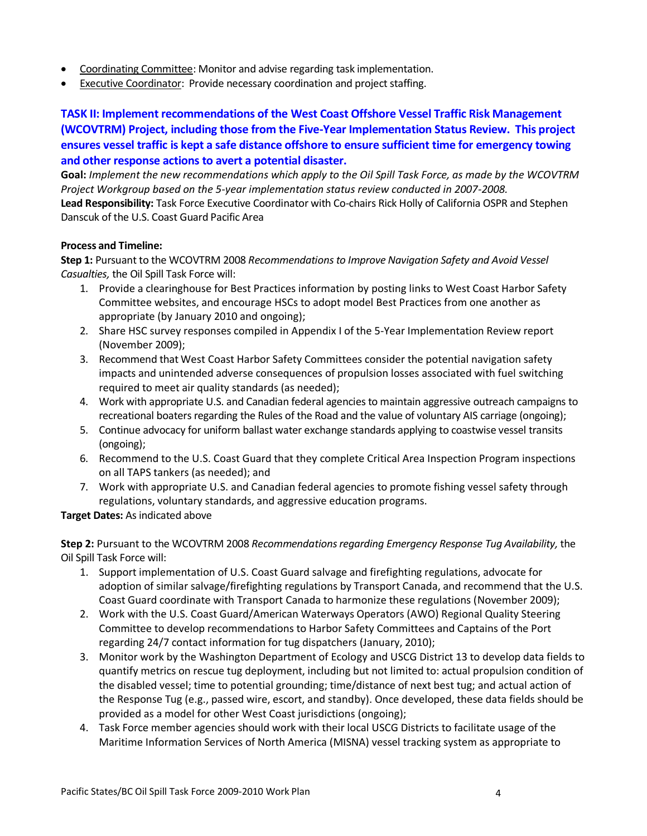- Coordinating Committee: Monitor and advise regarding task implementation.
- Executive Coordinator: Provide necessary coordination and project staffing.

**TASK II: Implement recommendations of the West Coast Offshore Vessel Traffic Risk Management (WCOVTRM) Project, including those from the Five-Year Implementation Status Review. This project ensures vessel traffic is kept a safe distance offshore to ensure sufficient time for emergency towing and other response actions to avert a potential disaster.**

**Goal:** *Implement the new recommendations which apply to the Oil Spill Task Force, as made by the WCOVTRM Project Workgroup based on the 5-year implementation status review conducted in 2007-2008.*

**Lead Responsibility:** Task Force Executive Coordinator with Co-chairs Rick Holly of California OSPR and Stephen Danscuk of the U.S. Coast Guard Pacific Area

#### **Process and Timeline:**

**Step 1:** Pursuant to the WCOVTRM 2008 *Recommendations to Improve Navigation Safety and Avoid Vessel Casualties,* the Oil Spill Task Force will:

- 1. Provide a clearinghouse for Best Practices information by posting links to West Coast Harbor Safety Committee websites, and encourage HSCs to adopt model Best Practices from one another as appropriate (by January 2010 and ongoing);
- 2. Share HSC survey responses compiled in Appendix I of the 5-Year Implementation Review report (November 2009);
- 3. Recommend that West Coast Harbor Safety Committees consider the potential navigation safety impacts and unintended adverse consequences of propulsion losses associated with fuel switching required to meet air quality standards (as needed);
- 4. Work with appropriate U.S. and Canadian federal agencies to maintain aggressive outreach campaigns to recreational boaters regarding the Rules of the Road and the value of voluntary AIS carriage (ongoing);
- 5. Continue advocacy for uniform ballast water exchange standards applying to coastwise vessel transits (ongoing);
- 6. Recommend to the U.S. Coast Guard that they complete Critical Area Inspection Program inspections on all TAPS tankers (as needed); and
- 7. Work with appropriate U.S. and Canadian federal agencies to promote fishing vessel safety through regulations, voluntary standards, and aggressive education programs.

### **Target Dates:** As indicated above

**Step 2:** Pursuant to the WCOVTRM 2008 *Recommendations regarding Emergency Response Tug Availability,* the Oil Spill Task Force will:

- 1. Support implementation of U.S. Coast Guard salvage and firefighting regulations, advocate for adoption of similar salvage/firefighting regulations by Transport Canada, and recommend that the U.S. Coast Guard coordinate with Transport Canada to harmonize these regulations (November 2009);
- 2. Work with the U.S. Coast Guard/American Waterways Operators (AWO) Regional Quality Steering Committee to develop recommendations to Harbor Safety Committees and Captains of the Port regarding 24/7 contact information for tug dispatchers (January, 2010);
- 3. Monitor work by the Washington Department of Ecology and USCG District 13 to develop data fields to quantify metrics on rescue tug deployment, including but not limited to: actual propulsion condition of the disabled vessel; time to potential grounding; time/distance of next best tug; and actual action of the Response Tug (e.g., passed wire, escort, and standby). Once developed, these data fields should be provided as a model for other West Coast jurisdictions (ongoing);
- 4. Task Force member agencies should work with their local USCG Districts to facilitate usage of the Maritime Information Services of North America (MISNA) vessel tracking system as appropriate to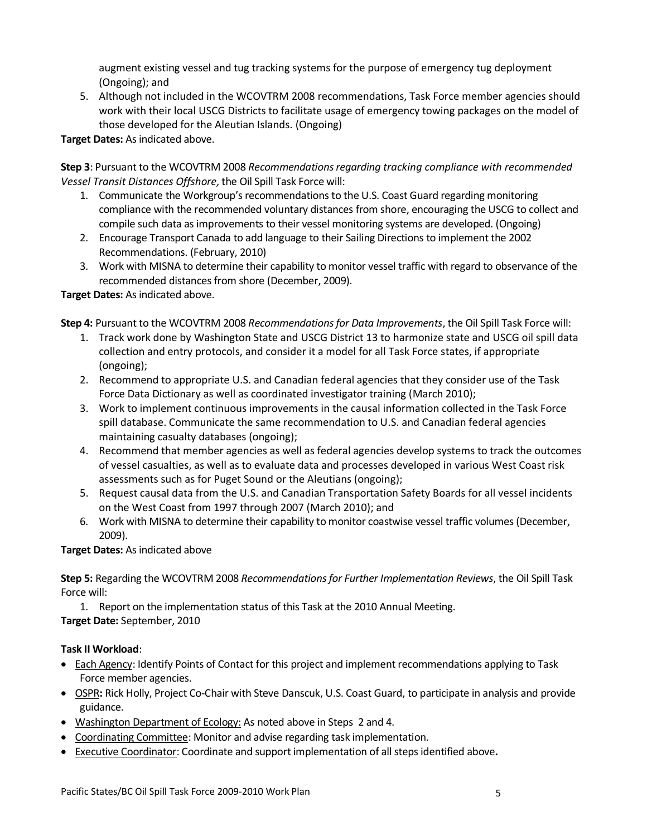augment existing vessel and tug tracking systems for the purpose of emergency tug deployment (Ongoing); and

5. Although not included in the WCOVTRM 2008 recommendations, Task Force member agencies should work with their local USCG Districts to facilitate usage of emergency towing packages on the model of those developed for the Aleutian Islands. (Ongoing)

**Target Dates:** As indicated above.

**Step 3**: Pursuant to the WCOVTRM 2008 *Recommendations regarding tracking compliance with recommended Vessel Transit Distances Offshore,*the Oil Spill Task Force will:

- 1. Communicate the Workgroup's recommendations to the U.S. Coast Guard regarding monitoring compliance with the recommended voluntary distances from shore, encouraging the USCG to collect and compile such data as improvements to their vessel monitoring systems are developed. (Ongoing)
- 2. Encourage Transport Canada to add language to their Sailing Directions to implement the 2002 Recommendations. (February, 2010)
- 3. Work with MISNA to determine their capability to monitor vessel traffic with regard to observance of the recommended distances from shore (December, 2009).

### **Target Dates:** As indicated above.

**Step 4:** Pursuant to the WCOVTRM 2008 *Recommendations for Data Improvements*, the Oil Spill Task Force will:

- 1. Track work done by Washington State and USCG District 13 to harmonize state and USCG oil spill data collection and entry protocols, and consider it a model for all Task Force states, if appropriate (ongoing);
- 2. Recommend to appropriate U.S. and Canadian federal agencies that they consider use of the Task Force Data Dictionary as well as coordinated investigator training (March 2010);
- 3. Work to implement continuous improvements in the causal information collected in the Task Force spill database. Communicate the same recommendation to U.S. and Canadian federal agencies maintaining casualty databases (ongoing);
- 4. Recommend that member agencies as well as federal agencies develop systems to track the outcomes of vessel casualties, as well as to evaluate data and processes developed in various West Coast risk assessments such as for Puget Sound or the Aleutians (ongoing);
- 5. Request causal data from the U.S. and Canadian Transportation Safety Boards for all vessel incidents on the West Coast from 1997 through 2007 (March 2010); and
- 6. Work with MISNA to determine their capability to monitor coastwise vessel traffic volumes (December, 2009).

**Target Dates:** As indicated above

**Step 5:** Regarding the WCOVTRM 2008 *Recommendations for Further Implementation Reviews*, the Oil Spill Task Force will:

1. Report on the implementation status of this Task at the 2010 Annual Meeting. **Target Date:** September, 2010

### **Task II Workload**:

- Each Agency: Identify Points of Contact for this project and implement recommendations applying to Task Force member agencies.
- OSPR**:** Rick Holly, Project Co-Chair with Steve Danscuk, U.S. Coast Guard, to participate in analysis and provide guidance.
- Washington Department of Ecology: As noted above in Steps 2 and 4.
- Coordinating Committee: Monitor and advise regarding task implementation.
- Executive Coordinator: Coordinate and support implementation of all steps identified above**.**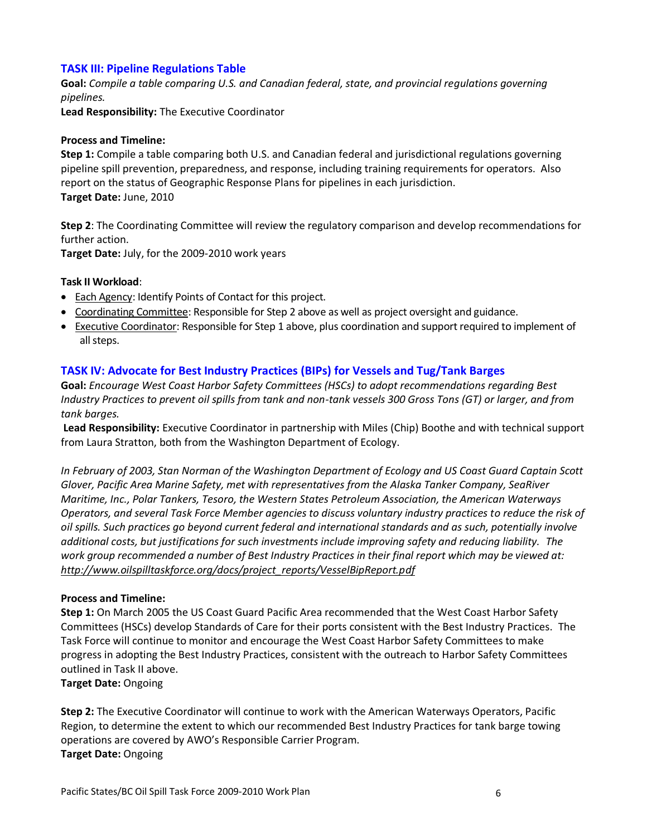#### **TASK III: Pipeline Regulations Table**

**Goal:** *Compile a table comparing U.S. and Canadian federal, state, and provincial regulations governing pipelines.*

**Lead Responsibility:** The Executive Coordinator

#### **Process and Timeline:**

**Step 1:** Compile a table comparing both U.S. and Canadian federal and jurisdictional regulations governing pipeline spill prevention, preparedness, and response, including training requirements for operators. Also report on the status of Geographic Response Plans for pipelines in each jurisdiction. **Target Date:** June, 2010

**Step 2**: The Coordinating Committee will review the regulatory comparison and develop recommendations for further action.

**Target Date:** July, for the 2009-2010 work years

#### **Task II Workload**:

- Each Agency: Identify Points of Contact for this project.
- Coordinating Committee: Responsible for Step 2 above as well as project oversight and guidance.
- Executive Coordinator: Responsible for Step 1 above, plus coordination and support required to implement of all steps.

#### **TASK IV: Advocate for Best Industry Practices (BIPs) for Vessels and Tug/Tank Barges**

**Goal:** *Encourage West Coast Harbor Safety Committees (HSCs) to adopt recommendations regarding Best Industry Practices to prevent oil spills from tank and non-tank vessels 300 Gross Tons (GT) or larger, and from tank barges.* 

**Lead Responsibility:** Executive Coordinator in partnership with Miles (Chip) Boothe and with technical support from Laura Stratton, both from the Washington Department of Ecology.

*In February of 2003, Stan Norman of the Washington Department of Ecology and US Coast Guard Captain Scott Glover, Pacific Area Marine Safety, met with representatives from the Alaska Tanker Company, SeaRiver Maritime, Inc., Polar Tankers, Tesoro, the Western States Petroleum Association, the American Waterways Operators, and several Task Force Member agencies to discuss voluntary industry practices to reduce the risk of oil spills. Such practices go beyond current federal and international standards and as such, potentially involve additional costs, but justifications for such investments include improving safety and reducing liability. The work group recommended a number of Best Industry Practices in their final report which may be viewed at: [http://www.oilspilltaskforce.org/docs/project\\_reports/VesselBipReport.pdf](http://www.oilspilltaskforce.org/docs/project_reports/VesselBipReport.pdf)*

#### **Process and Timeline:**

**Step 1:** On March 2005 the US Coast Guard Pacific Area recommended that the West Coast Harbor Safety Committees (HSCs) develop Standards of Care for their ports consistent with the Best Industry Practices. The Task Force will continue to monitor and encourage the West Coast Harbor Safety Committees to make progress in adopting the Best Industry Practices, consistent with the outreach to Harbor Safety Committees outlined in Task II above.

**Target Date:** Ongoing

**Step 2:** The Executive Coordinator will continue to work with the American Waterways Operators, Pacific Region, to determine the extent to which our recommended Best Industry Practices for tank barge towing operations are covered by AWO's Responsible Carrier Program. **Target Date:** Ongoing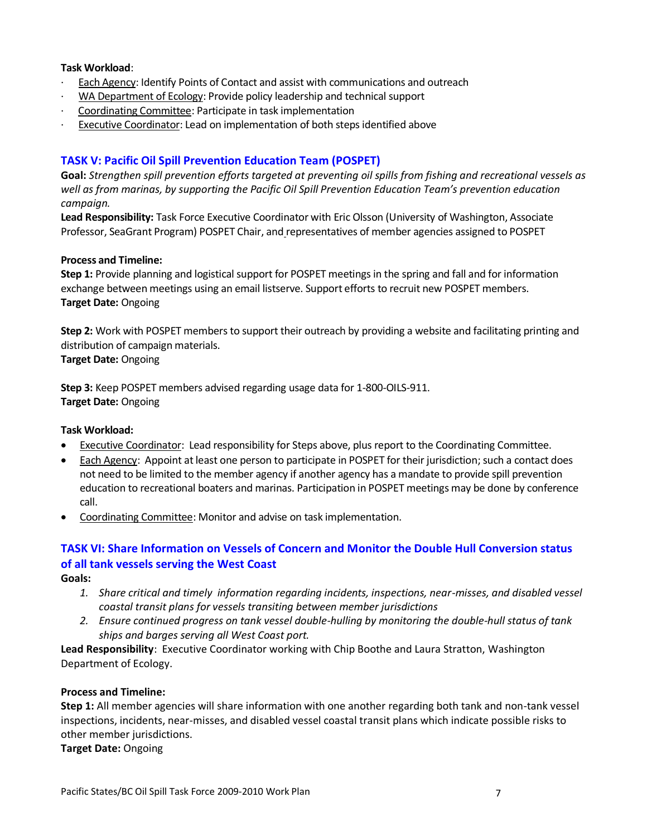- Each Agency: Identify Points of Contact and assist with communications and outreach
- · WA Department of Ecology: Provide policy leadership and technical support
- · Coordinating Committee: Participate in task implementation
- · Executive Coordinator: Lead on implementation of both steps identified above

### **TASK V: Pacific Oil Spill Prevention Education Team (POSPET)**

**Goal:** *Strengthen spill prevention efforts targeted at preventing oil spills from fishing and recreational vessels as well as from marinas, by supporting the Pacific Oil Spill Prevention Education Team's prevention education campaign.* 

**Lead Responsibility:** Task Force Executive Coordinator with Eric Olsson (University of Washington, Associate Professor, SeaGrant Program) POSPET Chair, and representatives of member agencies assigned to POSPET

#### **Process and Timeline:**

**Step 1:** Provide planning and logistical support for POSPET meetings in the spring and fall and for information exchange between meetings using an email listserve. Support efforts to recruit new POSPET members. **Target Date:** Ongoing

**Step 2:** Work with POSPET members to support their outreach by providing a website and facilitating printing and distribution of campaign materials. **Target Date:** Ongoing

**Step 3:** Keep POSPET members advised regarding usage data for 1-800-OILS-911. **Target Date:** Ongoing

#### **Task Workload:**

- Executive Coordinator: Lead responsibility for Steps above, plus report to the Coordinating Committee.
- Each Agency: Appoint at least one person to participate in POSPET for their jurisdiction; such a contact does not need to be limited to the member agency if another agency has a mandate to provide spill prevention education to recreational boaters and marinas. Participation in POSPET meetings may be done by conference call.
- Coordinating Committee: Monitor and advise on task implementation.

### **TASK VI: Share Information on Vessels of Concern and Monitor the Double Hull Conversion status of all tank vessels serving the West Coast**

**Goals:** 

- *1. Share critical and timely information regarding incidents, inspections, near-misses, and disabled vessel coastal transit plans for vessels transiting between member jurisdictions*
- *2. Ensure continued progress on tank vessel double-hulling by monitoring the double-hull status of tank ships and barges serving all West Coast port.*

**Lead Responsibility**: Executive Coordinator working with Chip Boothe and Laura Stratton, Washington Department of Ecology.

#### **Process and Timeline:**

**Step 1:** All member agencies will share information with one another regarding both tank and non-tank vessel inspections, incidents, near-misses, and disabled vessel coastal transit plans which indicate possible risks to other member jurisdictions.

**Target Date:** Ongoing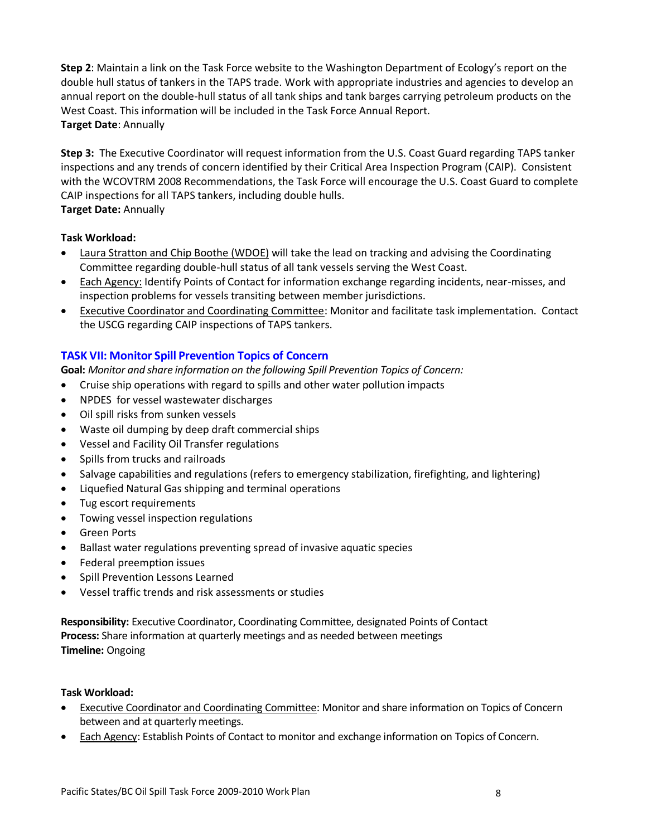**Step 2**: Maintain a link on the Task Force website to the Washington Department of Ecology's report on the double hull status of tankers in the TAPS trade. Work with appropriate industries and agencies to develop an annual report on the double-hull status of all tank ships and tank barges carrying petroleum products on the West Coast. This information will be included in the Task Force Annual Report. **Target Date**: Annually

**Step 3:** The Executive Coordinator will request information from the U.S. Coast Guard regarding TAPS tanker inspections and any trends of concern identified by their Critical Area Inspection Program (CAIP). Consistent with the WCOVTRM 2008 Recommendations, the Task Force will encourage the U.S. Coast Guard to complete CAIP inspections for all TAPS tankers, including double hulls. **Target Date:** Annually

### **Task Workload:**

- Laura Stratton and Chip Boothe (WDOE) will take the lead on tracking and advising the Coordinating Committee regarding double-hull status of all tank vessels serving the West Coast.
- Each Agency: Identify Points of Contact for information exchange regarding incidents, near-misses, and inspection problems for vessels transiting between member jurisdictions.
- Executive Coordinator and Coordinating Committee: Monitor and facilitate task implementation. Contact the USCG regarding CAIP inspections of TAPS tankers.

### **TASK VII: Monitor Spill Prevention Topics of Concern**

**Goal:** *Monitor and share information on the following Spill Prevention Topics of Concern:*

- Cruise ship operations with regard to spills and other water pollution impacts
- NPDES for vessel wastewater discharges
- Oil spill risks from sunken vessels
- Waste oil dumping by deep draft commercial ships
- Vessel and Facility Oil Transfer regulations
- Spills from trucks and railroads
- Salvage capabilities and regulations (refers to emergency stabilization, firefighting, and lightering)
- Liquefied Natural Gas shipping and terminal operations
- Tug escort requirements
- Towing vessel inspection regulations
- **•** Green Ports
- Ballast water regulations preventing spread of invasive aquatic species
- Federal preemption issues
- Spill Prevention Lessons Learned
- Vessel traffic trends and risk assessments or studies

**Responsibility:** Executive Coordinator, Coordinating Committee, designated Points of Contact **Process:** Share information at quarterly meetings and as needed between meetings **Timeline:** Ongoing

#### **Task Workload:**

- **Executive Coordinator and Coordinating Committee: Monitor and share information on Topics of Concern** between and at quarterly meetings.
- Each Agency: Establish Points of Contact to monitor and exchange information on Topics of Concern.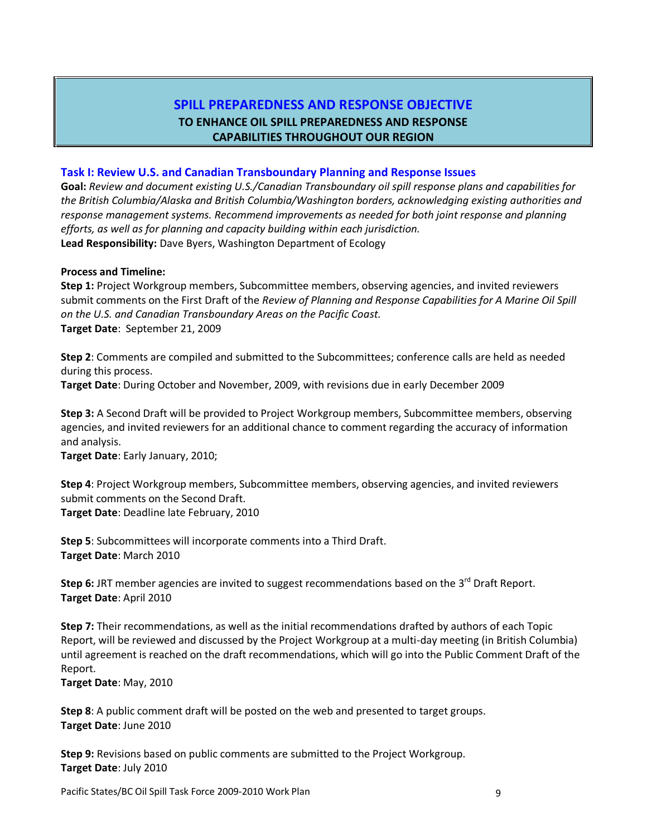### **SPILL PREPAREDNESS AND RESPONSE OBJECTIVE TO ENHANCE OIL SPILL PREPAREDNESS AND RESPONSE CAPABILITIES THROUGHOUT OUR REGION**

#### **Task I: Review U.S. and Canadian Transboundary Planning and Response Issues**

**Goal:** *Review and document existing U.S./Canadian Transboundary oil spill response plans and capabilities for the British Columbia/Alaska and British Columbia/Washington borders, acknowledging existing authorities and response management systems. Recommend improvements as needed for both joint response and planning efforts, as well as for planning and capacity building within each jurisdiction.*  **Lead Responsibility:** Dave Byers, Washington Department of Ecology

#### **Process and Timeline:**

**Step 1:** Project Workgroup members, Subcommittee members, observing agencies, and invited reviewers submit comments on the First Draft of the *Review of Planning and Response Capabilities for A Marine Oil Spill on the U.S. and Canadian Transboundary Areas on the Pacific Coast.* **Target Date**: September 21, 2009

**Step 2**: Comments are compiled and submitted to the Subcommittees; conference calls are held as needed during this process.

**Target Date**: During October and November, 2009, with revisions due in early December 2009

**Step 3:** A Second Draft will be provided to Project Workgroup members, Subcommittee members, observing agencies, and invited reviewers for an additional chance to comment regarding the accuracy of information and analysis.

**Target Date**: Early January, 2010;

**Step 4**: Project Workgroup members, Subcommittee members, observing agencies, and invited reviewers submit comments on the Second Draft. **Target Date**: Deadline late February, 2010

**Step 5**: Subcommittees will incorporate comments into a Third Draft. **Target Date**: March 2010

Step 6: JRT member agencies are invited to suggest recommendations based on the 3<sup>rd</sup> Draft Report. **Target Date**: April 2010

**Step 7:** Their recommendations, as well as the initial recommendations drafted by authors of each Topic Report, will be reviewed and discussed by the Project Workgroup at a multi-day meeting (in British Columbia) until agreement is reached on the draft recommendations, which will go into the Public Comment Draft of the Report.

**Target Date**: May, 2010

**Step 8**: A public comment draft will be posted on the web and presented to target groups. **Target Date**: June 2010

**Step 9:** Revisions based on public comments are submitted to the Project Workgroup. **Target Date**: July 2010

Pacific States/BC Oil Spill Task Force 2009-2010 Work Plan 9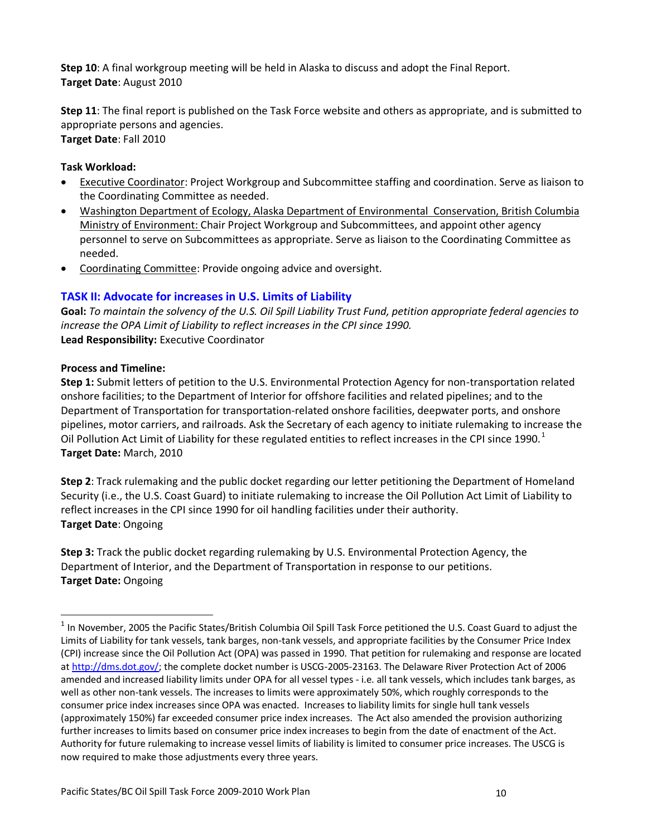**Step 10**: A final workgroup meeting will be held in Alaska to discuss and adopt the Final Report. **Target Date**: August 2010

**Step 11**: The final report is published on the Task Force website and others as appropriate, and is submitted to appropriate persons and agencies. **Target Date**: Fall 2010

### **Task Workload:**

- Executive Coordinator: Project Workgroup and Subcommittee staffing and coordination. Serve as liaison to the Coordinating Committee as needed.
- Washington Department of Ecology, Alaska Department of Environmental Conservation, British Columbia Ministry of Environment: Chair Project Workgroup and Subcommittees, and appoint other agency personnel to serve on Subcommittees as appropriate. Serve as liaison to the Coordinating Committee as needed.
- Coordinating Committee: Provide ongoing advice and oversight.

### **TASK II: Advocate for increases in U.S. Limits of Liability**

**Goal:** *To maintain the solvency of the U.S. Oil Spill Liability Trust Fund, petition appropriate federal agencies to increase the OPA Limit of Liability to reflect increases in the CPI since 1990.* **Lead Responsibility:** Executive Coordinator

#### **Process and Timeline:**

**Step 1:** Submit letters of petition to the U.S. Environmental Protection Agency for non-transportation related onshore facilities; to the Department of Interior for offshore facilities and related pipelines; and to the Department of Transportation for transportation-related onshore facilities, deepwater ports, and onshore pipelines, motor carriers, and railroads. Ask the Secretary of each agency to initiate rulemaking to increase the Oil Pollution Act Limit of Liability for these regulated entities to reflect increases in the CPI since 1990. $<sup>1</sup>$ </sup> **Target Date:** March, 2010

**Step 2**: Track rulemaking and the public docket regarding our letter petitioning the Department of Homeland Security (i.e., the U.S. Coast Guard) to initiate rulemaking to increase the Oil Pollution Act Limit of Liability to reflect increases in the CPI since 1990 for oil handling facilities under their authority. **Target Date**: Ongoing

**Step 3:** Track the public docket regarding rulemaking by U.S. Environmental Protection Agency, the Department of Interior, and the Department of Transportation in response to our petitions. **Target Date:** Ongoing

 $^1$  In November, 2005 the Pacific States/British Columbia Oil Spill Task Force petitioned the U.S. Coast Guard to adjust the Limits of Liability for tank vessels, tank barges, non-tank vessels, and appropriate facilities by the Consumer Price Index (CPI) increase since the Oil Pollution Act (OPA) was passed in 1990. That petition for rulemaking and response are located at [http://dms.dot.gov/;](http://dms.dot.gov/) the complete docket number is USCG-2005-23163. The Delaware River Protection Act of 2006 amended and increased liability limits under OPA for all vessel types - i.e. all tank vessels, which includes tank barges, as well as other non-tank vessels. The increases to limits were approximately 50%, which roughly corresponds to the consumer price index increases since OPA was enacted. Increases to liability limits for single hull tank vessels (approximately 150%) far exceeded consumer price index increases. The Act also amended the provision authorizing further increases to limits based on consumer price index increases to begin from the date of enactment of the Act. Authority for future rulemaking to increase vessel limits of liability is limited to consumer price increases. The USCG is now required to make those adjustments every three years.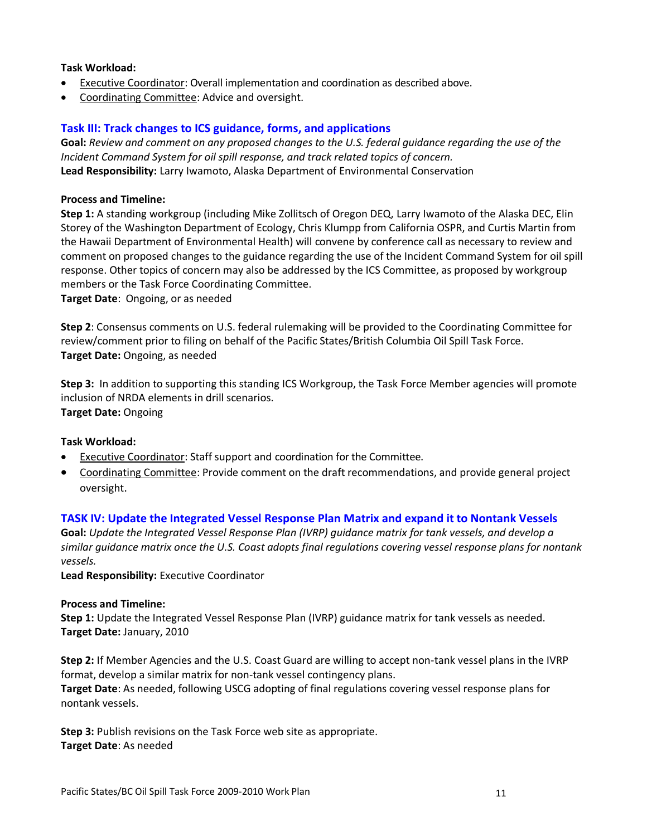- Executive Coordinator: Overall implementation and coordination as described above.
- Coordinating Committee: Advice and oversight.

#### **Task III: Track changes to ICS guidance, forms, and applications**

**Goal:** *Review and comment on any proposed changes to the U.S. federal guidance regarding the use of the Incident Command System for oil spill response, and track related topics of concern.* **Lead Responsibility:** Larry Iwamoto, Alaska Department of Environmental Conservation

#### **Process and Timeline:**

**Step 1:** A standing workgroup (including Mike Zollitsch of Oregon DEQ, Larry Iwamoto of the Alaska DEC, Elin Storey of the Washington Department of Ecology, Chris Klumpp from California OSPR, and Curtis Martin from the Hawaii Department of Environmental Health) will convene by conference call as necessary to review and comment on proposed changes to the guidance regarding the use of the Incident Command System for oil spill response. Other topics of concern may also be addressed by the ICS Committee, as proposed by workgroup members or the Task Force Coordinating Committee.

**Target Date**: Ongoing, or as needed

**Step 2**: Consensus comments on U.S. federal rulemaking will be provided to the Coordinating Committee for review/comment prior to filing on behalf of the Pacific States/British Columbia Oil Spill Task Force. **Target Date:** Ongoing, as needed

**Step 3:** In addition to supporting this standing ICS Workgroup, the Task Force Member agencies will promote inclusion of NRDA elements in drill scenarios. **Target Date:** Ongoing

#### **Task Workload:**

- **Executive Coordinator: Staff support and coordination for the Committee.**
- Coordinating Committee: Provide comment on the draft recommendations, and provide general project oversight.

#### **TASK IV: Update the Integrated Vessel Response Plan Matrix and expand it to Nontank Vessels**

**Goal:** *Update the Integrated Vessel Response Plan (IVRP) guidance matrix for tank vessels, and develop a similar guidance matrix once the U.S. Coast adopts final regulations covering vessel response plans for nontank vessels.* 

**Lead Responsibility:** Executive Coordinator

#### **Process and Timeline:**

**Step 1:** Update the Integrated Vessel Response Plan (IVRP) guidance matrix for tank vessels as needed. **Target Date:** January, 2010

**Step 2:** If Member Agencies and the U.S. Coast Guard are willing to accept non-tank vessel plans in the IVRP format, develop a similar matrix for non-tank vessel contingency plans.

**Target Date**: As needed, following USCG adopting of final regulations covering vessel response plans for nontank vessels.

**Step 3:** Publish revisions on the Task Force web site as appropriate. **Target Date**: As needed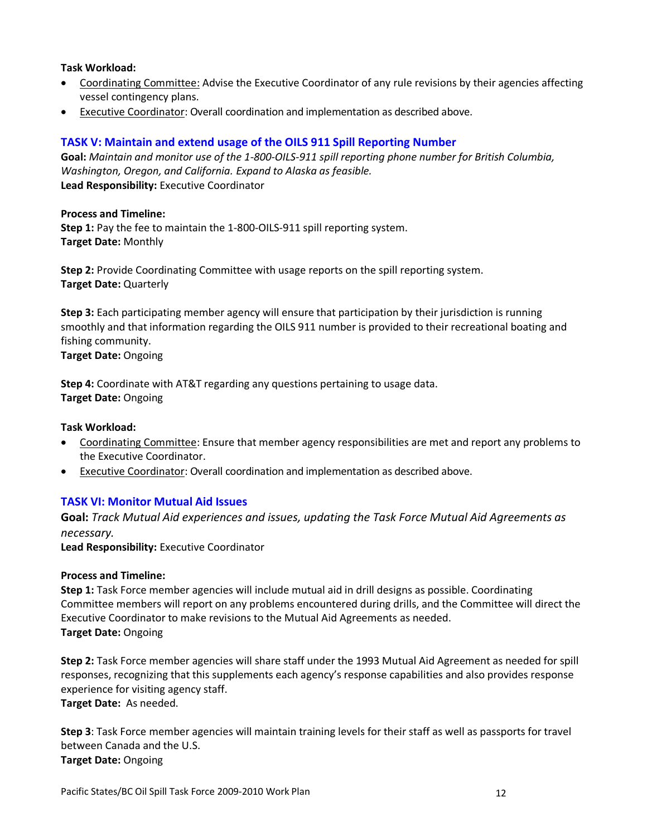- Coordinating Committee: Advise the Executive Coordinator of any rule revisions by their agencies affecting vessel contingency plans.
- Executive Coordinator: Overall coordination and implementation as described above.

### **TASK V: Maintain and extend usage of the OILS 911 Spill Reporting Number**

**Goal:** *Maintain and monitor use of the 1-800-OILS-911 spill reporting phone number for British Columbia, Washington, Oregon, and California. Expand to Alaska as feasible.* **Lead Responsibility:** Executive Coordinator

#### **Process and Timeline:**

**Step 1:** Pay the fee to maintain the 1-800-OILS-911 spill reporting system. **Target Date:** Monthly

**Step 2:** Provide Coordinating Committee with usage reports on the spill reporting system. **Target Date:** Quarterly

**Step 3:** Each participating member agency will ensure that participation by their jurisdiction is running smoothly and that information regarding the OILS 911 number is provided to their recreational boating and fishing community.

**Target Date:** Ongoing

**Step 4:** Coordinate with AT&T regarding any questions pertaining to usage data. **Target Date:** Ongoing

#### **Task Workload:**

- Coordinating Committee: Ensure that member agency responsibilities are met and report any problems to the Executive Coordinator.
- Executive Coordinator: Overall coordination and implementation as described above.

#### **TASK VI: Monitor Mutual Aid Issues**

**Goal:** *Track Mutual Aid experiences and issues, updating the Task Force Mutual Aid Agreements as necessary.*

**Lead Responsibility:** Executive Coordinator

#### **Process and Timeline:**

**Step 1:** Task Force member agencies will include mutual aid in drill designs as possible. Coordinating Committee members will report on any problems encountered during drills, and the Committee will direct the Executive Coordinator to make revisions to the Mutual Aid Agreements as needed. **Target Date:** Ongoing

**Step 2:** Task Force member agencies will share staff under the 1993 Mutual Aid Agreement as needed for spill responses, recognizing that this supplements each agency's response capabilities and also provides response experience for visiting agency staff.

**Target Date:** As needed.

**Step 3**: Task Force member agencies will maintain training levels for their staff as well as passports for travel between Canada and the U.S. **Target Date:** Ongoing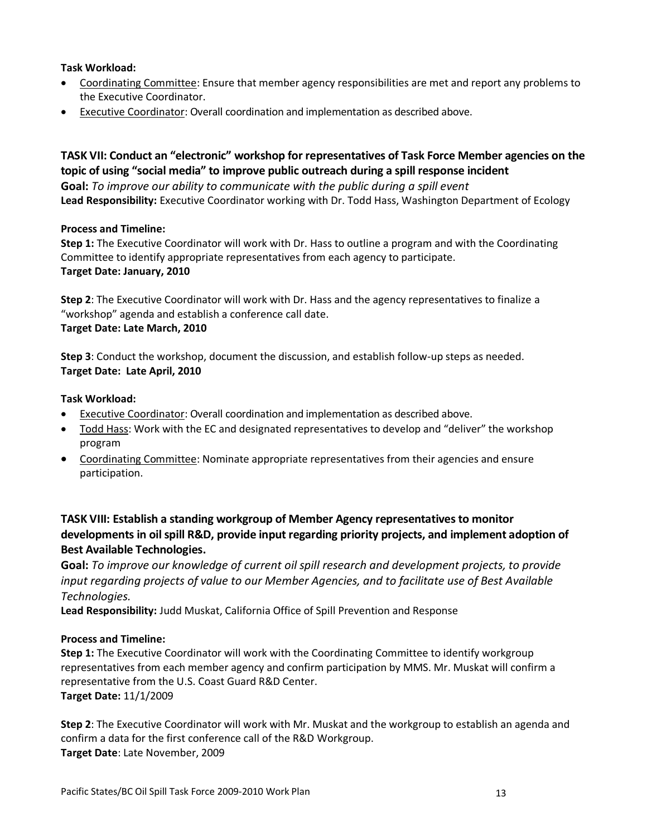- Coordinating Committee: Ensure that member agency responsibilities are met and report any problems to the Executive Coordinator.
- Executive Coordinator: Overall coordination and implementation as described above.

**TASK VII: Conduct an "electronic" workshop for representatives of Task Force Member agencies on the topic of using "social media" to improve public outreach during a spill response incident Goal:** *To improve our ability to communicate with the public during a spill event* **Lead Responsibility:** Executive Coordinator working with Dr. Todd Hass, Washington Department of Ecology

#### **Process and Timeline:**

**Step 1:** The Executive Coordinator will work with Dr. Hass to outline a program and with the Coordinating Committee to identify appropriate representatives from each agency to participate. **Target Date: January, 2010**

**Step 2**: The Executive Coordinator will work with Dr. Hass and the agency representatives to finalize a "workshop" agenda and establish a conference call date.

#### **Target Date: Late March, 2010**

**Step 3**: Conduct the workshop, document the discussion, and establish follow-up steps as needed. **Target Date: Late April, 2010**

#### **Task Workload:**

- Executive Coordinator: Overall coordination and implementation as described above.
- Todd Hass: Work with the EC and designated representatives to develop and "deliver" the workshop program
- Coordinating Committee: Nominate appropriate representatives from their agencies and ensure participation.

### **TASK VIII: Establish a standing workgroup of Member Agency representatives to monitor developments in oil spill R&D, provide input regarding priority projects, and implement adoption of Best Available Technologies.**

**Goal:** *To improve our knowledge of current oil spill research and development projects, to provide input regarding projects of value to our Member Agencies, and to facilitate use of Best Available Technologies.*

**Lead Responsibility:** Judd Muskat, California Office of Spill Prevention and Response

#### **Process and Timeline:**

**Step 1:** The Executive Coordinator will work with the Coordinating Committee to identify workgroup representatives from each member agency and confirm participation by MMS. Mr. Muskat will confirm a representative from the U.S. Coast Guard R&D Center. **Target Date:** 11/1/2009

**Step 2**: The Executive Coordinator will work with Mr. Muskat and the workgroup to establish an agenda and confirm a data for the first conference call of the R&D Workgroup. **Target Date**: Late November, 2009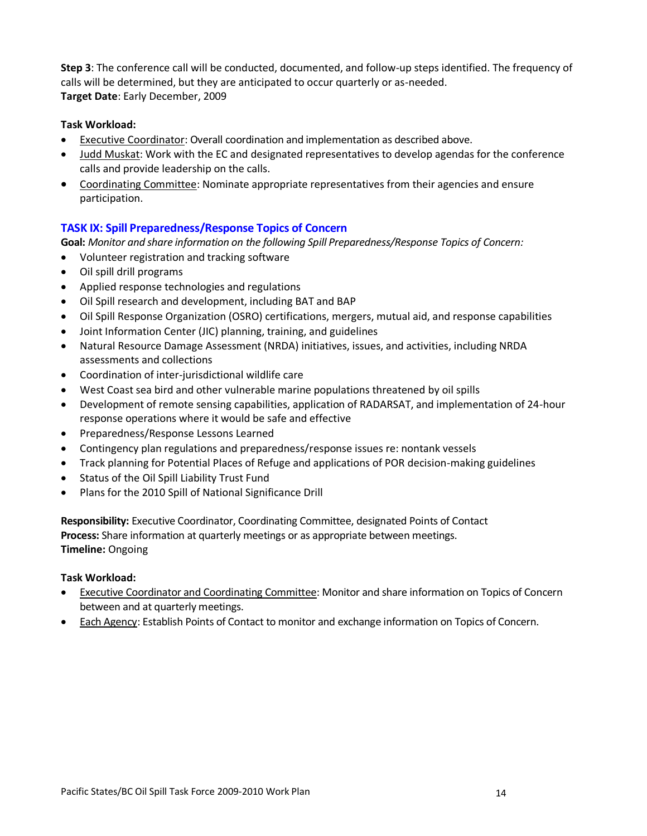**Step 3**: The conference call will be conducted, documented, and follow-up steps identified. The frequency of calls will be determined, but they are anticipated to occur quarterly or as-needed. **Target Date**: Early December, 2009

#### **Task Workload:**

- Executive Coordinator: Overall coordination and implementation as described above.
- Judd Muskat: Work with the EC and designated representatives to develop agendas for the conference calls and provide leadership on the calls.
- Coordinating Committee: Nominate appropriate representatives from their agencies and ensure participation.

### **TASK IX: Spill Preparedness/Response Topics of Concern**

**Goal:** *Monitor and share information on the following Spill Preparedness/Response Topics of Concern:*

- Volunteer registration and tracking software
- Oil spill drill programs
- Applied response technologies and regulations
- Oil Spill research and development, including BAT and BAP
- Oil Spill Response Organization (OSRO) certifications, mergers, mutual aid, and response capabilities
- Joint Information Center (JIC) planning, training, and guidelines
- Natural Resource Damage Assessment (NRDA) initiatives, issues, and activities, including NRDA assessments and collections
- Coordination of inter-jurisdictional wildlife care
- West Coast sea bird and other vulnerable marine populations threatened by oil spills
- Development of remote sensing capabilities, application of RADARSAT, and implementation of 24-hour response operations where it would be safe and effective
- Preparedness/Response Lessons Learned
- Contingency plan regulations and preparedness/response issues re: nontank vessels
- Track planning for Potential Places of Refuge and applications of POR decision-making guidelines
- Status of the Oil Spill Liability Trust Fund
- Plans for the 2010 Spill of National Significance Drill

**Responsibility:** Executive Coordinator, Coordinating Committee, designated Points of Contact **Process:** Share information at quarterly meetings or as appropriate between meetings. **Timeline:** Ongoing

#### **Task Workload:**

- Executive Coordinator and Coordinating Committee: Monitor and share information on Topics of Concern between and at quarterly meetings.
- Each Agency: Establish Points of Contact to monitor and exchange information on Topics of Concern.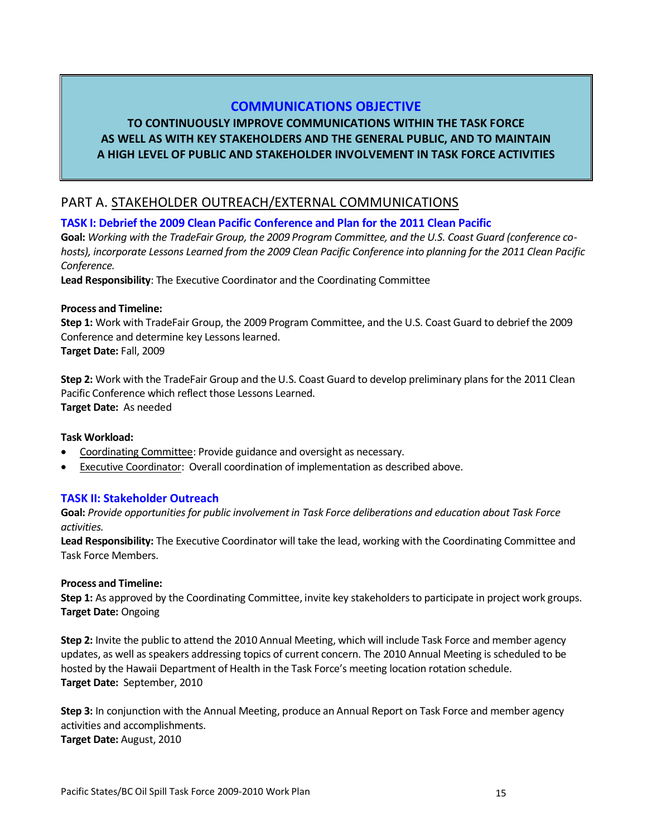### **COMMUNICATIONS OBJECTIVE**

### **TO CONTINUOUSLY IMPROVE COMMUNICATIONS WITHIN THE TASK FORCE AS WELL AS WITH KEY STAKEHOLDERS AND THE GENERAL PUBLIC, AND TO MAINTAIN A HIGH LEVEL OF PUBLIC AND STAKEHOLDER INVOLVEMENT IN TASK FORCE ACTIVITIES**

### PART A. STAKEHOLDER OUTREACH/EXTERNAL COMMUNICATIONS

### **TASK I: Debrief the 2009 Clean Pacific Conference and Plan for the 2011 Clean Pacific**

**Goal:** *Working with the TradeFair Group, the 2009 Program Committee, and the U.S. Coast Guard (conference cohosts), incorporate Lessons Learned from the 2009 Clean Pacific Conference into planning for the 2011 Clean Pacific Conference.*

**Lead Responsibility**: The Executive Coordinator and the Coordinating Committee

#### **Process and Timeline:**

**Step 1:** Work with TradeFair Group, the 2009 Program Committee, and the U.S. Coast Guard to debrief the 2009 Conference and determine key Lessons learned. **Target Date:** Fall, 2009

**Step 2:** Work with the TradeFair Group and the U.S. Coast Guard to develop preliminary plans for the 2011 Clean Pacific Conference which reflect those Lessons Learned. **Target Date:** As needed

#### **Task Workload:**

- Coordinating Committee: Provide guidance and oversight as necessary.
- Executive Coordinator: Overall coordination of implementation as described above.

#### **TASK II: Stakeholder Outreach**

**Goal:** *Provide opportunities for public involvement in Task Force deliberations and education about Task Force activities.*

**Lead Responsibility:** The Executive Coordinator will take the lead, working with the Coordinating Committee and Task Force Members.

#### **Process and Timeline:**

**Step 1:** As approved by the Coordinating Committee, invite key stakeholders to participate in project work groups. **Target Date:** Ongoing

**Step 2:** Invite the public to attend the 2010 Annual Meeting, which will include Task Force and member agency updates, as well as speakers addressing topics of current concern. The 2010 Annual Meeting is scheduled to be hosted by the Hawaii Department of Health in the Task Force's meeting location rotation schedule. **Target Date:** September, 2010

**Step 3:** In conjunction with the Annual Meeting, produce an Annual Report on Task Force and member agency activities and accomplishments. **Target Date:** August, 2010

Pacific States/BC Oil Spill Task Force 2009-2010 Work Plan 15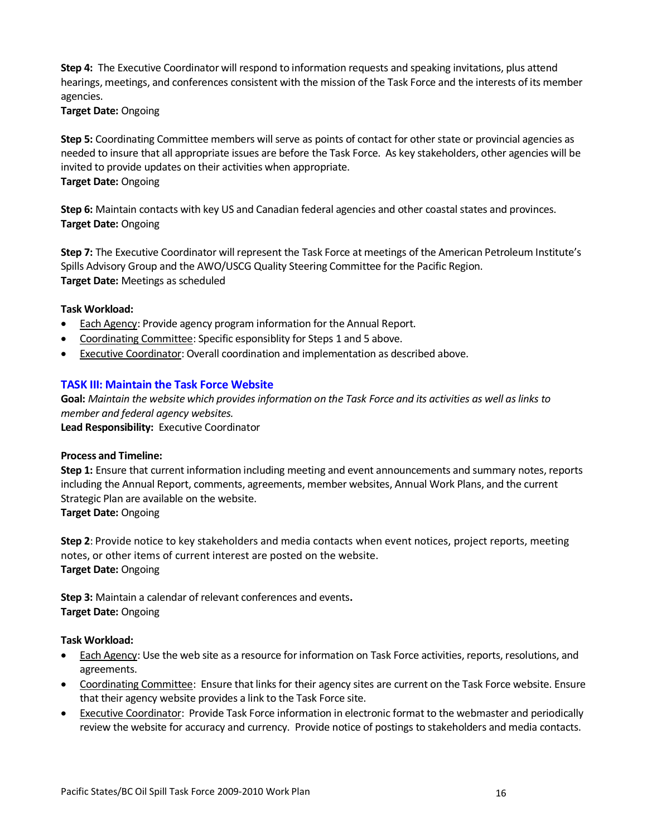**Step 4:** The Executive Coordinator will respond to information requests and speaking invitations, plus attend hearings, meetings, and conferences consistent with the mission of the Task Force and the interests of its member agencies.

#### **Target Date:** Ongoing

**Step 5:** Coordinating Committee members will serve as points of contact for other state or provincial agencies as needed to insure that all appropriate issues are before the Task Force. As key stakeholders, other agencies will be invited to provide updates on their activities when appropriate. **Target Date:** Ongoing

**Step 6:** Maintain contacts with key US and Canadian federal agencies and other coastal states and provinces. **Target Date:** Ongoing

**Step 7:** The Executive Coordinator will represent the Task Force at meetings of the American Petroleum Institute's Spills Advisory Group and the AWO/USCG Quality Steering Committee for the Pacific Region. **Target Date:** Meetings as scheduled

#### **Task Workload:**

- Each Agency: Provide agency program information for the Annual Report.
- Coordinating Committee: Specific esponsiblity for Steps 1 and 5 above.
- Executive Coordinator: Overall coordination and implementation as described above.

#### **TASK III: Maintain the Task Force Website**

**Goal:** *Maintain the website which provides information on the Task Force and its activities as well as links to member and federal agency websites.*  **Lead Responsibility:** Executive Coordinator

#### **Process and Timeline:**

**Step 1:** Ensure that current information including meeting and event announcements and summary notes, reports including the Annual Report, comments, agreements, member websites, Annual Work Plans, and the current Strategic Plan are available on the website.

**Target Date:** Ongoing

**Step 2**: Provide notice to key stakeholders and media contacts when event notices, project reports, meeting notes, or other items of current interest are posted on the website. **Target Date:** Ongoing

**Step 3:** Maintain a calendar of relevant conferences and events**. Target Date:** Ongoing

#### **Task Workload:**

- Each Agency: Use the web site as a resource for information on Task Force activities, reports, resolutions, and agreements.
- Coordinating Committee: Ensure that links for their agency sites are current on the Task Force website. Ensure that their agency website provides a link to the Task Force site.
- Executive Coordinator: Provide Task Force information in electronic format to the webmaster and periodically review the website for accuracy and currency. Provide notice of postings to stakeholders and media contacts.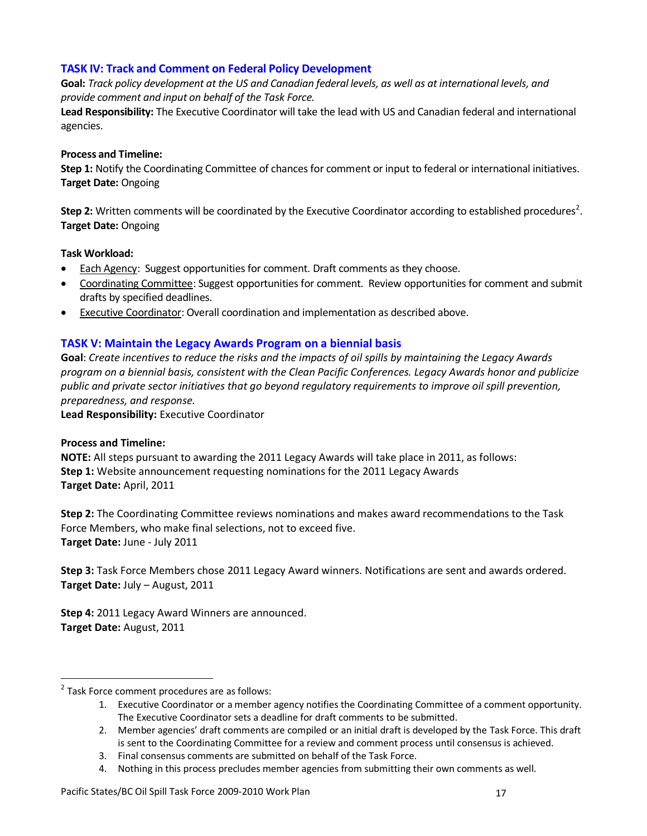### **TASK IV: Track and Comment on Federal Policy Development**

**Goal:** *Track policy development at the US and Canadian federal levels, as well as at international levels, and provide comment and input on behalf of the Task Force.* 

**Lead Responsibility:** The Executive Coordinator will take the lead with US and Canadian federal and international agencies.

#### **Process and Timeline:**

**Step 1:** Notify the Coordinating Committee of chances for comment or input to federal or international initiatives. **Target Date:** Ongoing

Step 2: Written comments will be coordinated by the Executive Coordinator according to established procedures<sup>2</sup>. **Target Date:** Ongoing

#### **Task Workload:**

- Each Agency: Suggest opportunities for comment. Draft comments as they choose.
- Coordinating Committee: Suggest opportunities for comment. Review opportunities for comment and submit drafts by specified deadlines.
- Executive Coordinator: Overall coordination and implementation as described above.

### **TASK V: Maintain the Legacy Awards Program on a biennial basis**

**Goal**: *Create incentives to reduce the risks and the impacts of oil spills by maintaining the Legacy Awards program on a biennial basis, consistent with the Clean Pacific Conferences. Legacy Awards honor and publicize public and private sector initiatives that go beyond regulatory requirements to improve oil spill prevention, preparedness, and response.*

**Lead Responsibility:** Executive Coordinator

### **Process and Timeline:**

 $\overline{a}$ 

**NOTE:** All steps pursuant to awarding the 2011 Legacy Awards will take place in 2011, as follows: **Step 1:** Website announcement requesting nominations for the 2011 Legacy Awards **Target Date:** April, 2011

**Step 2:** The Coordinating Committee reviews nominations and makes award recommendations to the Task Force Members, who make final selections, not to exceed five. **Target Date:** June - July 2011

**Step 3:** Task Force Members chose 2011 Legacy Award winners. Notifications are sent and awards ordered. **Target Date:** July – August, 2011

**Step 4:** 2011 Legacy Award Winners are announced. **Target Date:** August, 2011

<sup>&</sup>lt;sup>2</sup> Task Force comment procedures are as follows:

<sup>1.</sup> Executive Coordinator or a member agency notifies the Coordinating Committee of a comment opportunity. The Executive Coordinator sets a deadline for draft comments to be submitted.

<sup>2.</sup> Member agencies' draft comments are compiled or an initial draft is developed by the Task Force. This draft is sent to the Coordinating Committee for a review and comment process until consensus is achieved.

<sup>3.</sup> Final consensus comments are submitted on behalf of the Task Force.

<sup>4.</sup> Nothing in this process precludes member agencies from submitting their own comments as well.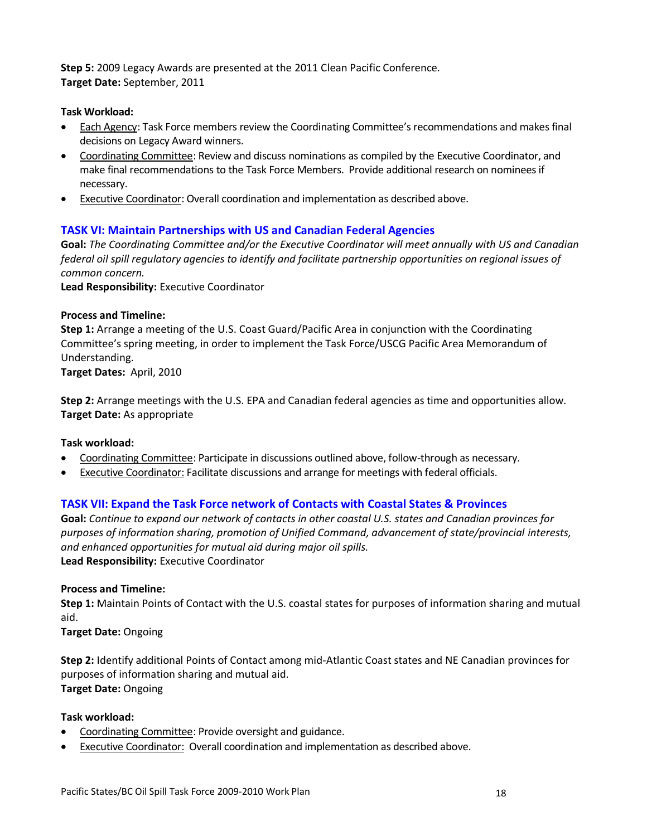**Step 5:** 2009 Legacy Awards are presented at the 2011 Clean Pacific Conference. **Target Date:** September, 2011

#### **Task Workload:**

- Each Agency: Task Force members review the Coordinating Committee's recommendations and makes final decisions on Legacy Award winners.
- Coordinating Committee: Review and discuss nominations as compiled by the Executive Coordinator, and make final recommendations to the Task Force Members. Provide additional research on nominees if necessary.
- Executive Coordinator: Overall coordination and implementation as described above.

#### **TASK VI: Maintain Partnerships with US and Canadian Federal Agencies**

**Goal:** *The Coordinating Committee and/or the Executive Coordinator will meet annually with US and Canadian federal oil spill regulatory agencies to identify and facilitate partnership opportunities on regional issues of common concern.*

**Lead Responsibility:** Executive Coordinator

#### **Process and Timeline:**

**Step 1:** Arrange a meeting of the U.S. Coast Guard/Pacific Area in conjunction with the Coordinating Committee's spring meeting, in order to implement the Task Force/USCG Pacific Area Memorandum of Understanding.

**Target Dates:** April, 2010

**Step 2:** Arrange meetings with the U.S. EPA and Canadian federal agencies as time and opportunities allow. **Target Date:** As appropriate

#### **Task workload:**

- Coordinating Committee: Participate in discussions outlined above, follow-through as necessary.
- Executive Coordinator: Facilitate discussions and arrange for meetings with federal officials.

#### **TASK VII: Expand the Task Force network of Contacts with Coastal States & Provinces**

**Goal:** *Continue to expand our network of contacts in other coastal U.S. states and Canadian provinces for purposes of information sharing, promotion of Unified Command, advancement of state/provincial interests, and enhanced opportunities for mutual aid during major oil spills.*  **Lead Responsibility:** Executive Coordinator

#### **Process and Timeline:**

**Step 1:** Maintain Points of Contact with the U.S. coastal states for purposes of information sharing and mutual aid.

**Target Date:** Ongoing

**Step 2:** Identify additional Points of Contact among mid-Atlantic Coast states and NE Canadian provinces for purposes of information sharing and mutual aid. **Target Date:** Ongoing

#### **Task workload:**

- Coordinating Committee: Provide oversight and guidance.
- Executive Coordinator: Overall coordination and implementation as described above.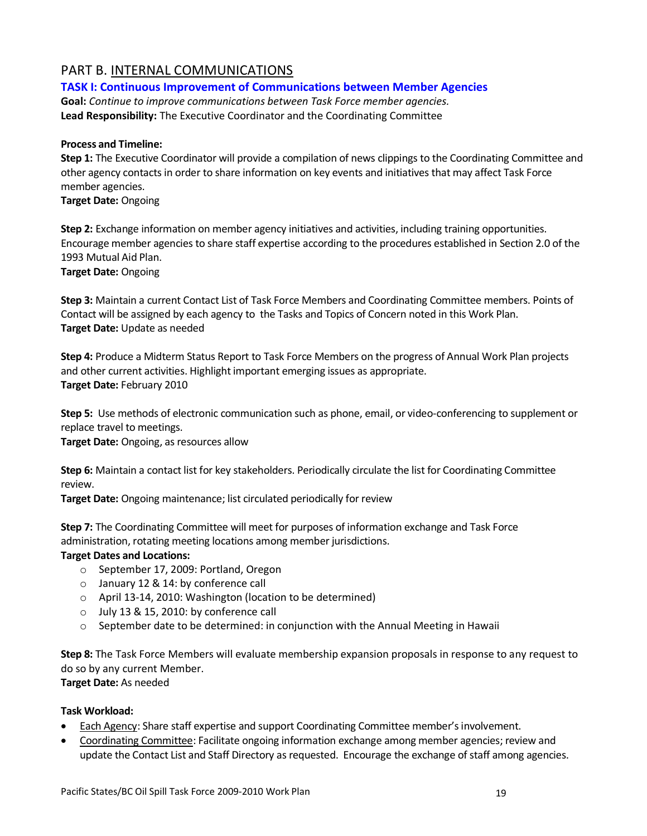### PART B. INTERNAL COMMUNICATIONS

#### **TASK I: Continuous Improvement of Communications between Member Agencies**

**Goal:** *Continue to improve communications between Task Force member agencies.* **Lead Responsibility:** The Executive Coordinator and the Coordinating Committee

#### **Process and Timeline:**

**Step 1:** The Executive Coordinator will provide a compilation of news clippings to the Coordinating Committee and other agency contacts in order to share information on key events and initiatives that may affect Task Force member agencies.

**Target Date:** Ongoing

**Step 2:** Exchange information on member agency initiatives and activities, including training opportunities. Encourage member agencies to share staff expertise according to the procedures established in Section 2.0 of the 1993 Mutual Aid Plan.

**Target Date:** Ongoing

**Step 3:** Maintain a current Contact List of Task Force Members and Coordinating Committee members. Points of Contact will be assigned by each agency to the Tasks and Topics of Concern noted in this Work Plan. **Target Date:** Update as needed

**Step 4:** Produce a Midterm Status Report to Task Force Members on the progress of Annual Work Plan projects and other current activities. Highlight important emerging issues as appropriate. **Target Date:** February 2010

**Step 5:** Use methods of electronic communication such as phone, email, or video-conferencing to supplement or replace travel to meetings.

**Target Date:** Ongoing, as resources allow

**Step 6:** Maintain a contact list for key stakeholders. Periodically circulate the list for Coordinating Committee review.

**Target Date:** Ongoing maintenance; list circulated periodically for review

**Step 7:** The Coordinating Committee will meet for purposes of information exchange and Task Force administration, rotating meeting locations among member jurisdictions.

#### **Target Dates and Locations:**

- o September 17, 2009: Portland, Oregon
- o January 12 & 14: by conference call
- o April 13-14, 2010: Washington (location to be determined)
- o July 13 & 15, 2010: by conference call
- $\circ$  September date to be determined: in conjunction with the Annual Meeting in Hawaii

**Step 8:** The Task Force Members will evaluate membership expansion proposals in response to any request to do so by any current Member.

**Target Date:** As needed

#### **Task Workload:**

- **Each Agency: Share staff expertise and support Coordinating Committee member's involvement.**
- Coordinating Committee: Facilitate ongoing information exchange among member agencies; review and update the Contact List and Staff Directory as requested. Encourage the exchange of staff among agencies.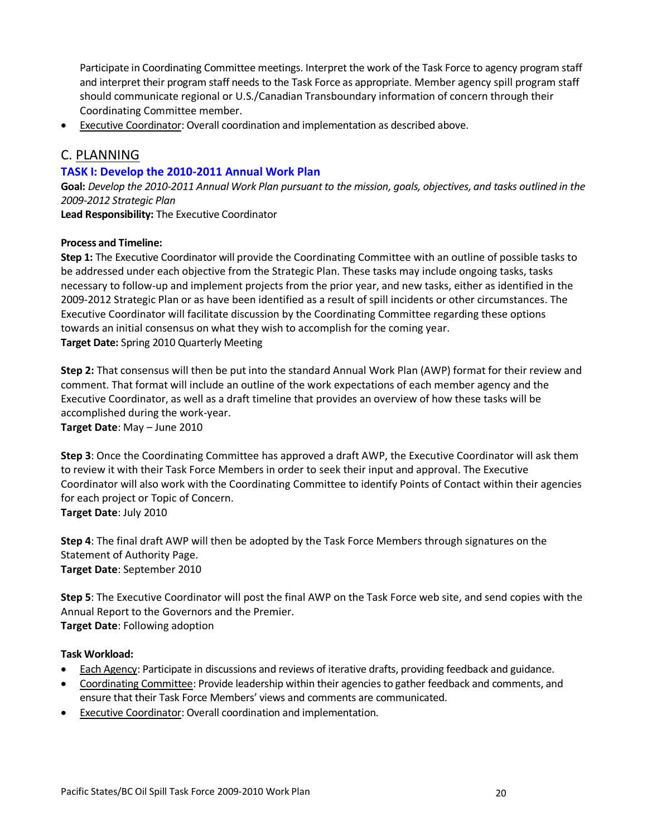Participate in Coordinating Committee meetings. Interpret the work of the Task Force to agency program staff and interpret their program staff needs to the Task Force as appropriate. Member agency spill program staff should communicate regional or U.S./Canadian Transboundary information of concern through their Coordinating Committee member.

Executive Coordinator: Overall coordination and implementation as described above.

### C. PLANNING

#### **TASK I: Develop the 2010-2011 Annual Work Plan**

**Goal:** *Develop the 2010-2011 Annual Work Plan pursuant to the mission, goals, objectives, and tasks outlined in the 2009-2012 Strategic Plan*

**Lead Responsibility:** The Executive Coordinator

#### **Process and Timeline:**

**Step 1:** The Executive Coordinator will provide the Coordinating Committee with an outline of possible tasks to be addressed under each objective from the Strategic Plan. These tasks may include ongoing tasks, tasks necessary to follow-up and implement projects from the prior year, and new tasks, either as identified in the 2009-2012 Strategic Plan or as have been identified as a result of spill incidents or other circumstances. The Executive Coordinator will facilitate discussion by the Coordinating Committee regarding these options towards an initial consensus on what they wish to accomplish for the coming year. **Target Date:** Spring 2010 Quarterly Meeting

**Step 2:** That consensus will then be put into the standard Annual Work Plan (AWP) format for their review and comment. That format will include an outline of the work expectations of each member agency and the Executive Coordinator, as well as a draft timeline that provides an overview of how these tasks will be accomplished during the work-year. **Target Date**: May – June 2010

**Step 3**: Once the Coordinating Committee has approved a draft AWP, the Executive Coordinator will ask them to review it with their Task Force Members in order to seek their input and approval. The Executive Coordinator will also work with the Coordinating Committee to identify Points of Contact within their agencies for each project or Topic of Concern. **Target Date**: July 2010

**Step 4**: The final draft AWP will then be adopted by the Task Force Members through signatures on the Statement of Authority Page. **Target Date**: September 2010

**Step 5**: The Executive Coordinator will post the final AWP on the Task Force web site, and send copies with the Annual Report to the Governors and the Premier. **Target Date**: Following adoption

#### **Task Workload:**

- Each Agency: Participate in discussions and reviews of iterative drafts, providing feedback and guidance.
- Coordinating Committee: Provide leadership within their agencies to gather feedback and comments, and ensure that their Task Force Members' views and comments are communicated.
- Executive Coordinator: Overall coordination and implementation.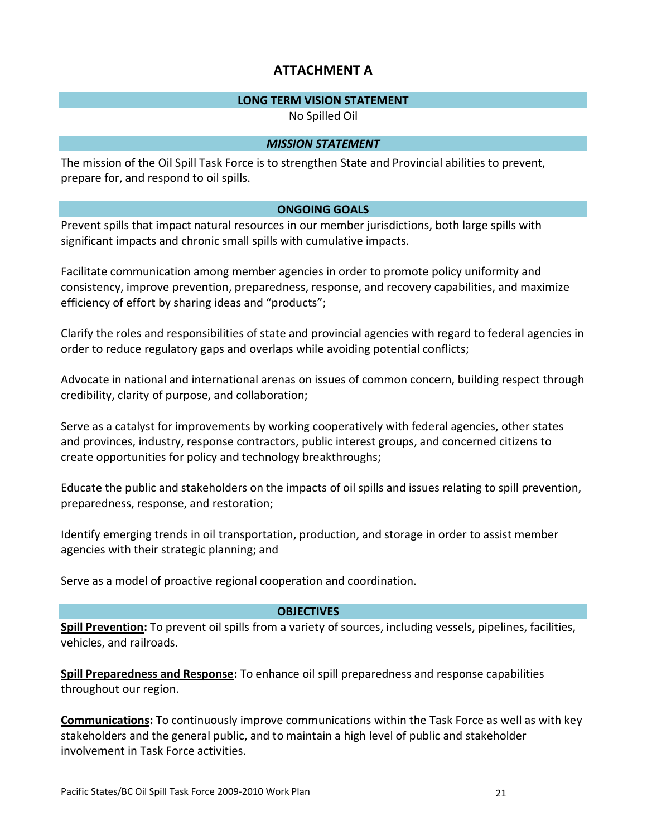### **ATTACHMENT A**

#### **LONG TERM VISION STATEMENT**

No Spilled Oil

#### *MISSION STATEMENT*

The mission of the Oil Spill Task Force is to strengthen State and Provincial abilities to prevent, prepare for, and respond to oil spills.

### **ONGOING GOALS**

Prevent spills that impact natural resources in our member jurisdictions, both large spills with significant impacts and chronic small spills with cumulative impacts.

Facilitate communication among member agencies in order to promote policy uniformity and consistency, improve prevention, preparedness, response, and recovery capabilities, and maximize efficiency of effort by sharing ideas and "products";

Clarify the roles and responsibilities of state and provincial agencies with regard to federal agencies in order to reduce regulatory gaps and overlaps while avoiding potential conflicts;

Advocate in national and international arenas on issues of common concern, building respect through credibility, clarity of purpose, and collaboration;

Serve as a catalyst for improvements by working cooperatively with federal agencies, other states and provinces, industry, response contractors, public interest groups, and concerned citizens to create opportunities for policy and technology breakthroughs;

Educate the public and stakeholders on the impacts of oil spills and issues relating to spill prevention, preparedness, response, and restoration;

Identify emerging trends in oil transportation, production, and storage in order to assist member agencies with their strategic planning; and

Serve as a model of proactive regional cooperation and coordination.

### **OBJECTIVES**

**Spill Prevention:** To prevent oil spills from a variety of sources, including vessels, pipelines, facilities, vehicles, and railroads.

**Spill Preparedness and Response:** To enhance oil spill preparedness and response capabilities throughout our region.

**Communications:** To continuously improve communications within the Task Force as well as with key stakeholders and the general public, and to maintain a high level of public and stakeholder involvement in Task Force activities.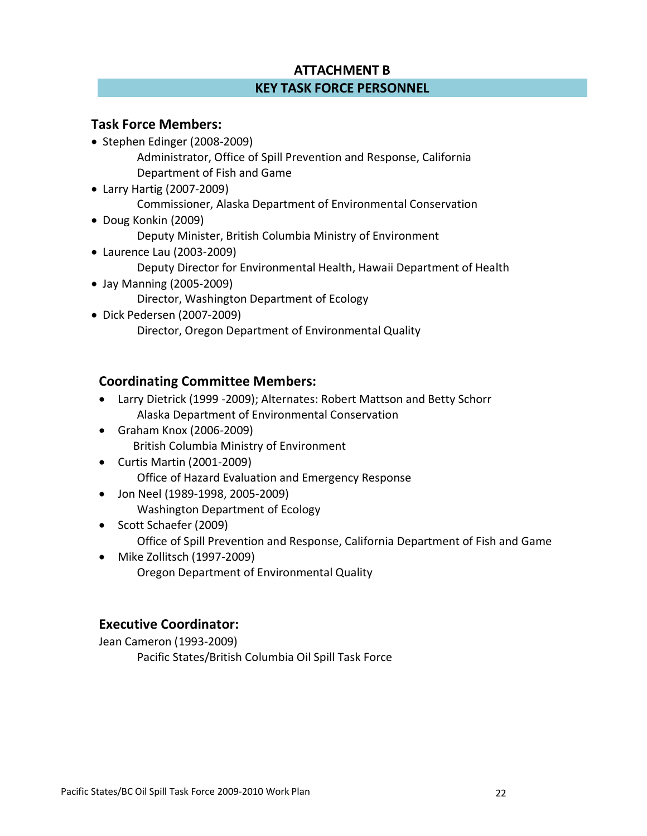## **ATTACHMENT B KEY TASK FORCE PERSONNEL**

### **Task Force Members:**

- Stephen Edinger (2008-2009) Administrator, Office of Spill Prevention and Response, California Department of Fish and Game
- Larry Hartig (2007-2009) Commissioner, Alaska Department of Environmental Conservation Doug Konkin (2009)
	- Deputy Minister, British Columbia Ministry of Environment
- Laurence Lau (2003-2009) Deputy Director for Environmental Health, Hawaii Department of Health Jay Manning (2005-2009)
	- Director, Washington Department of Ecology
- Dick Pedersen (2007-2009) Director, Oregon Department of Environmental Quality

### **Coordinating Committee Members:**

- Larry Dietrick (1999 -2009); Alternates: Robert Mattson and Betty Schorr Alaska Department of Environmental Conservation
- Graham Knox (2006-2009) British Columbia Ministry of Environment
- Curtis Martin (2001-2009) Office of Hazard Evaluation and Emergency Response
- Jon Neel (1989-1998, 2005-2009) Washington Department of Ecology
- Scott Schaefer (2009) Office of Spill Prevention and Response, California Department of Fish and Game
- Mike Zollitsch (1997-2009) Oregon Department of Environmental Quality

### **Executive Coordinator:**

Jean Cameron (1993-2009) Pacific States/British Columbia Oil Spill Task Force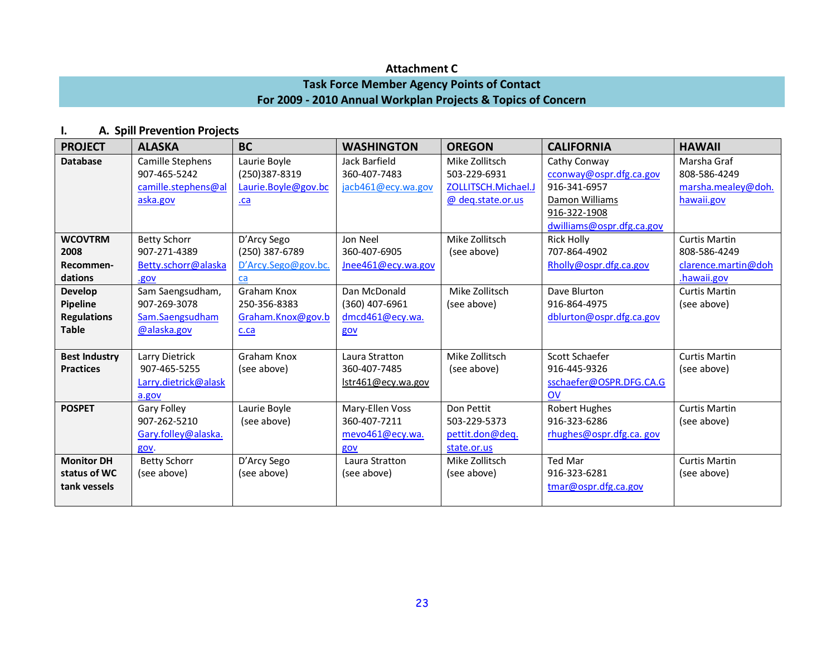### **Attachment C**

### **Task Force Member Agency Points of Contact For 2009 - 2010 Annual Workplan Projects & Topics of Concern**

### **I. A. Spill Prevention Projects**

| <b>PROJECT</b>                                                   | <b>ALASKA</b>                                                       | <b>BC</b>                                                    | <b>WASHINGTON</b>                                         | <b>OREGON</b>                                                              | <b>CALIFORNIA</b>                                                                                                      | <b>HAWAII</b>                                                              |
|------------------------------------------------------------------|---------------------------------------------------------------------|--------------------------------------------------------------|-----------------------------------------------------------|----------------------------------------------------------------------------|------------------------------------------------------------------------------------------------------------------------|----------------------------------------------------------------------------|
| <b>Database</b>                                                  | Camille Stephens<br>907-465-5242<br>camille.stephens@al<br>aska.gov | Laurie Boyle<br>(250)387-8319<br>Laurie.Boyle@gov.bc<br>$ca$ | Jack Barfield<br>360-407-7483<br>jacb461@ecy.wa.gov       | Mike Zollitsch<br>503-229-6931<br>ZOLLITSCH.Michael.J<br>@ deq.state.or.us | Cathy Conway<br>cconway@ospr.dfg.ca.gov<br>916-341-6957<br>Damon Williams<br>916-322-1908<br>dwilliams@ospr.dfg.ca.gov | Marsha Graf<br>808-586-4249<br>marsha.mealey@doh.<br>hawaii.gov            |
| <b>WCOVTRM</b><br>2008<br>Recommen-<br>dations                   | <b>Betty Schorr</b><br>907-271-4389<br>Betty.schorr@alaska<br>.gov  | D'Arcy Sego<br>(250) 387-6789<br>D'Arcy.Sego@gov.bc.<br>ca   | Jon Neel<br>360-407-6905<br>Jnee461@ecy.wa.gov            | Mike Zollitsch<br>(see above)                                              | <b>Rick Holly</b><br>707-864-4902<br>Rholly@ospr.dfg.ca.gov                                                            | <b>Curtis Martin</b><br>808-586-4249<br>clarence.martin@doh<br>.hawaii.gov |
| <b>Develop</b><br>Pipeline<br><b>Regulations</b><br><b>Table</b> | Sam Saengsudham,<br>907-269-3078<br>Sam.Saengsudham<br>@alaska.gov  | Graham Knox<br>250-356-8383<br>Graham.Knox@gov.b<br>c.ca     | Dan McDonald<br>(360) 407-6961<br>dmcd461@ecy.wa.<br>gov  | Mike Zollitsch<br>(see above)                                              | Dave Blurton<br>916-864-4975<br>dblurton@ospr.dfg.ca.gov                                                               | <b>Curtis Martin</b><br>(see above)                                        |
| <b>Best Industry</b><br><b>Practices</b>                         | Larry Dietrick<br>907-465-5255<br>Larry.dietrick@alask<br>a.gov     | Graham Knox<br>(see above)                                   | Laura Stratton<br>360-407-7485<br>lstr461@ecy.wa.gov      | Mike Zollitsch<br>(see above)                                              | Scott Schaefer<br>916-445-9326<br>sschaefer@OSPR.DFG.CA.G<br><b>OV</b>                                                 | <b>Curtis Martin</b><br>(see above)                                        |
| <b>POSPET</b>                                                    | Gary Folley<br>907-262-5210<br>Gary.folley@alaska.<br>gov.          | Laurie Boyle<br>(see above)                                  | Mary-Ellen Voss<br>360-407-7211<br>mevo461@ecy.wa.<br>gov | Don Pettit<br>503-229-5373<br>pettit.don@deq.<br>state.or.us               | <b>Robert Hughes</b><br>916-323-6286<br>rhughes@ospr.dfg.ca. gov                                                       | <b>Curtis Martin</b><br>(see above)                                        |
| <b>Monitor DH</b><br>status of WC<br>tank vessels                | <b>Betty Schorr</b><br>(see above)                                  | D'Arcy Sego<br>(see above)                                   | Laura Stratton<br>(see above)                             | Mike Zollitsch<br>(see above)                                              | Ted Mar<br>916-323-6281<br>tmar@ospr.dfg.ca.gov                                                                        | <b>Curtis Martin</b><br>(see above)                                        |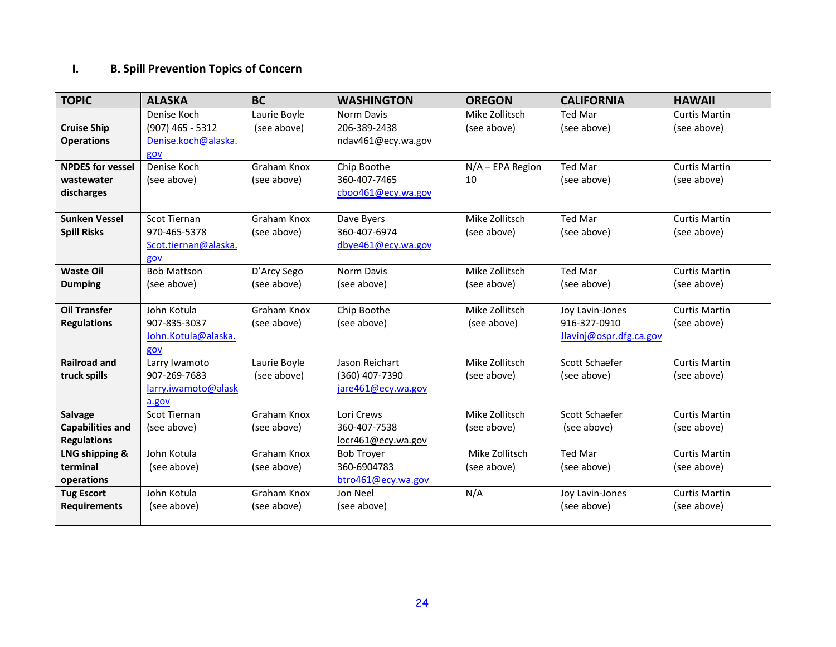# **I. B. Spill Prevention Topics of Concern**

| <b>TOPIC</b>            | <b>ALASKA</b>        | <b>BC</b>    | <b>WASHINGTON</b>  | <b>OREGON</b>    | <b>CALIFORNIA</b>       | <b>HAWAII</b>        |
|-------------------------|----------------------|--------------|--------------------|------------------|-------------------------|----------------------|
|                         | Denise Koch          | Laurie Boyle | Norm Davis         | Mike Zollitsch   | <b>Ted Mar</b>          | <b>Curtis Martin</b> |
| <b>Cruise Ship</b>      | $(907)$ 465 - 5312   | (see above)  | 206-389-2438       | (see above)      | (see above)             | (see above)          |
| <b>Operations</b>       | Denise.koch@alaska.  |              | ndav461@ecy.wa.gov |                  |                         |                      |
|                         | gov                  |              |                    |                  |                         |                      |
| <b>NPDES for vessel</b> | Denise Koch          | Graham Knox  | Chip Boothe        | N/A - EPA Region | <b>Ted Mar</b>          | <b>Curtis Martin</b> |
| wastewater              | (see above)          | (see above)  | 360-407-7465       | 10               | (see above)             | (see above)          |
| discharges              |                      |              | cboo461@ecy.wa.gov |                  |                         |                      |
|                         |                      |              |                    |                  |                         |                      |
| <b>Sunken Vessel</b>    | Scot Tiernan         | Graham Knox  | Dave Byers         | Mike Zollitsch   | Ted Mar                 | <b>Curtis Martin</b> |
| <b>Spill Risks</b>      | 970-465-5378         | (see above)  | 360-407-6974       | (see above)      | (see above)             | (see above)          |
|                         | Scot.tiernan@alaska. |              | dbye461@ecy.wa.gov |                  |                         |                      |
|                         | gov                  |              |                    |                  |                         |                      |
| <b>Waste Oil</b>        | <b>Bob Mattson</b>   | D'Arcy Sego  | Norm Davis         | Mike Zollitsch   | <b>Ted Mar</b>          | <b>Curtis Martin</b> |
| <b>Dumping</b>          | (see above)          | (see above)  | (see above)        | (see above)      | (see above)             | (see above)          |
|                         |                      |              |                    |                  |                         |                      |
| <b>Oil Transfer</b>     | John Kotula          | Graham Knox  | Chip Boothe        | Mike Zollitsch   | Joy Lavin-Jones         | <b>Curtis Martin</b> |
| <b>Regulations</b>      | 907-835-3037         | (see above)  | (see above)        | (see above)      | 916-327-0910            | (see above)          |
|                         | John.Kotula@alaska.  |              |                    |                  | Jlavinj@ospr.dfg.ca.gov |                      |
|                         | gov                  |              |                    |                  |                         |                      |
| <b>Railroad and</b>     | Larry Iwamoto        | Laurie Boyle | Jason Reichart     | Mike Zollitsch   | Scott Schaefer          | <b>Curtis Martin</b> |
| truck spills            | 907-269-7683         | (see above)  | (360) 407-7390     | (see above)      | (see above)             | (see above)          |
|                         | larry.iwamoto@alask  |              | jare461@ecy.wa.gov |                  |                         |                      |
|                         | a.gov                |              |                    |                  |                         |                      |
| <b>Salvage</b>          | <b>Scot Tiernan</b>  | Graham Knox  | Lori Crews         | Mike Zollitsch   | Scott Schaefer          | <b>Curtis Martin</b> |
| <b>Capabilities and</b> | (see above)          | (see above)  | 360-407-7538       | (see above)      | (see above)             | (see above)          |
| <b>Regulations</b>      |                      |              | locr461@ecy.wa.gov |                  |                         |                      |
| LNG shipping &          | John Kotula          | Graham Knox  | <b>Bob Troyer</b>  | Mike Zollitsch   | Ted Mar                 | <b>Curtis Martin</b> |
| terminal                | (see above)          | (see above)  | 360-6904783        | (see above)      | (see above)             | (see above)          |
| operations              |                      |              | btro461@ecy.wa.gov |                  |                         |                      |
| <b>Tug Escort</b>       | John Kotula          | Graham Knox  | Jon Neel           | N/A              | Joy Lavin-Jones         | <b>Curtis Martin</b> |
| <b>Requirements</b>     | (see above)          | (see above)  | (see above)        |                  | (see above)             | (see above)          |
|                         |                      |              |                    |                  |                         |                      |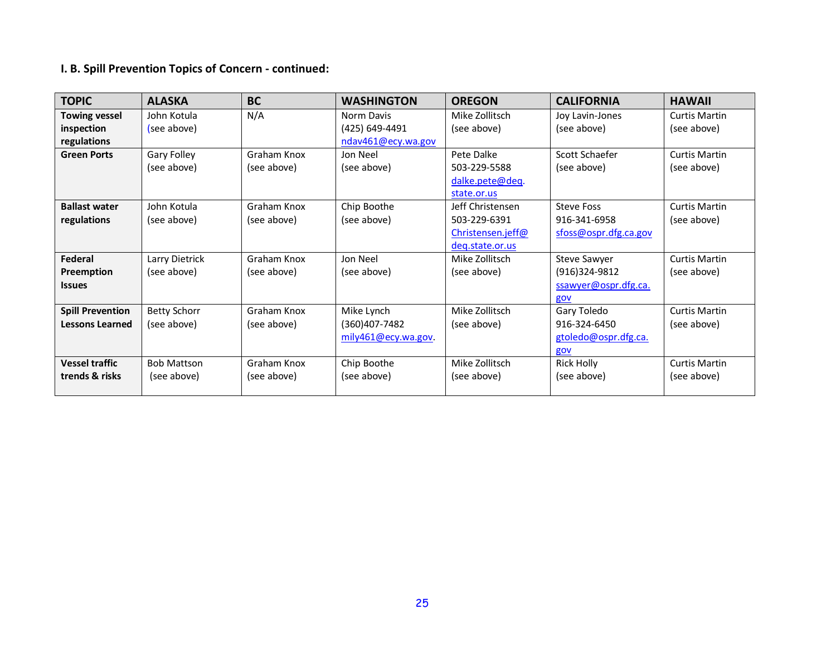# **I. B. Spill Prevention Topics of Concern - continued:**

| <b>TOPIC</b>            | <b>ALASKA</b>       | <b>BC</b>   | <b>WASHINGTON</b>   | <b>OREGON</b>     | <b>CALIFORNIA</b>     | <b>HAWAII</b>        |
|-------------------------|---------------------|-------------|---------------------|-------------------|-----------------------|----------------------|
| <b>Towing vessel</b>    | John Kotula         | N/A         | Norm Davis          | Mike Zollitsch    | Joy Lavin-Jones       | <b>Curtis Martin</b> |
| inspection              | (see above)         |             | (425) 649-4491      | (see above)       | (see above)           | (see above)          |
| regulations             |                     |             | ndav461@ecy.wa.gov  |                   |                       |                      |
| <b>Green Ports</b>      | Gary Folley         | Graham Knox | Jon Neel            | Pete Dalke        | Scott Schaefer        | <b>Curtis Martin</b> |
|                         | (see above)         | (see above) | (see above)         | 503-229-5588      | (see above)           | (see above)          |
|                         |                     |             |                     | dalke.pete@deq.   |                       |                      |
|                         |                     |             |                     | state.or.us       |                       |                      |
| <b>Ballast water</b>    | John Kotula         | Graham Knox | Chip Boothe         | Jeff Christensen  | <b>Steve Foss</b>     | <b>Curtis Martin</b> |
| regulations             | (see above)         | (see above) | (see above)         | 503-229-6391      | 916-341-6958          | (see above)          |
|                         |                     |             |                     | Christensen.jeff@ | sfoss@ospr.dfg.ca.gov |                      |
|                         |                     |             |                     | deg.state.or.us   |                       |                      |
| Federal                 | Larry Dietrick      | Graham Knox | Jon Neel            | Mike Zollitsch    | Steve Sawyer          | <b>Curtis Martin</b> |
| Preemption              | (see above)         | (see above) | (see above)         | (see above)       | (916)324-9812         | (see above)          |
| <b>Issues</b>           |                     |             |                     |                   | ssawyer@ospr.dfg.ca.  |                      |
|                         |                     |             |                     |                   | gov                   |                      |
| <b>Spill Prevention</b> | <b>Betty Schorr</b> | Graham Knox | Mike Lynch          | Mike Zollitsch    | Gary Toledo           | <b>Curtis Martin</b> |
| <b>Lessons Learned</b>  | (see above)         | (see above) | (360)407-7482       | (see above)       | 916-324-6450          | (see above)          |
|                         |                     |             | mily461@ecy.wa.gov. |                   | gtoledo@ospr.dfg.ca.  |                      |
|                         |                     |             |                     |                   | gov                   |                      |
| <b>Vessel traffic</b>   | <b>Bob Mattson</b>  | Graham Knox | Chip Boothe         | Mike Zollitsch    | <b>Rick Holly</b>     | <b>Curtis Martin</b> |
| trends & risks          | (see above)         | (see above) | (see above)         | (see above)       | (see above)           | (see above)          |
|                         |                     |             |                     |                   |                       |                      |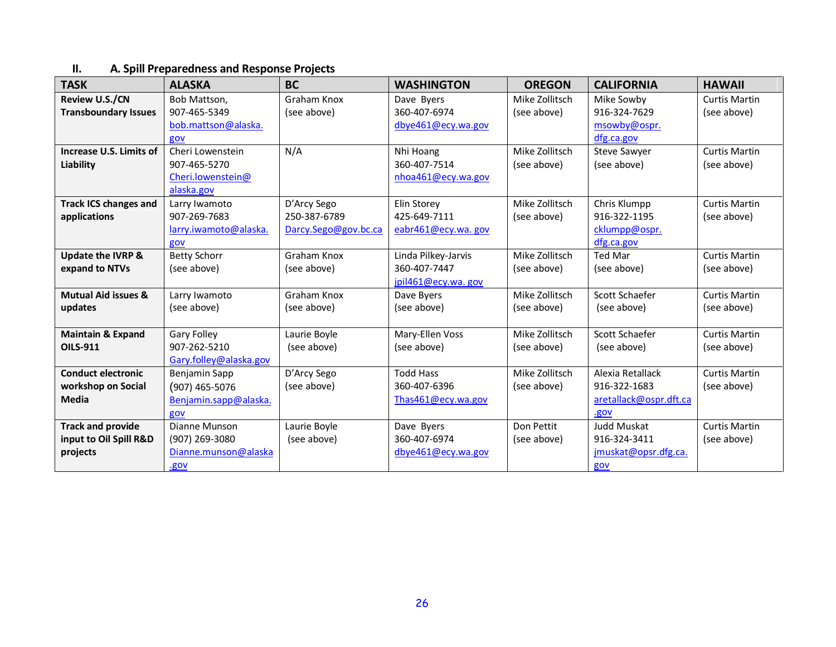### **II. A. Spill Preparedness and Response Projects**

| <b>TASK</b>                    | <b>ALASKA</b>          | <b>BC</b>            | <b>WASHINGTON</b>   | <b>OREGON</b>  | <b>CALIFORNIA</b>      | <b>HAWAII</b>        |
|--------------------------------|------------------------|----------------------|---------------------|----------------|------------------------|----------------------|
| <b>Review U.S./CN</b>          | Bob Mattson,           | <b>Graham Knox</b>   | Dave Byers          | Mike Zollitsch | Mike Sowby             | <b>Curtis Martin</b> |
| <b>Transboundary Issues</b>    | 907-465-5349           | (see above)          | 360-407-6974        | (see above)    | 916-324-7629           | (see above)          |
|                                | bob.mattson@alaska.    |                      | dbye461@ecy.wa.gov  |                | msowby@ospr.           |                      |
|                                | gov                    |                      |                     |                | dfg.ca.gov             |                      |
| Increase U.S. Limits of        | Cheri Lowenstein       | N/A                  | Nhi Hoang           | Mike Zollitsch | <b>Steve Sawyer</b>    | <b>Curtis Martin</b> |
| Liability                      | 907-465-5270           |                      | 360-407-7514        | (see above)    | (see above)            | (see above)          |
|                                | Cheri.lowenstein@      |                      | nhoa461@ecy.wa.gov  |                |                        |                      |
|                                | alaska.gov             |                      |                     |                |                        |                      |
| <b>Track ICS changes and</b>   | Larry Iwamoto          | D'Arcy Sego          | Elin Storey         | Mike Zollitsch | Chris Klumpp           | <b>Curtis Martin</b> |
| applications                   | 907-269-7683           | 250-387-6789         | 425-649-7111        | (see above)    | 916-322-1195           | (see above)          |
|                                | larry.iwamoto@alaska.  | Darcy.Sego@gov.bc.ca | eabr461@ecy.wa.gov  |                | cklumpp@ospr.          |                      |
|                                | gov                    |                      |                     |                | dfg.ca.gov             |                      |
| <b>Update the IVRP &amp;</b>   | <b>Betty Schorr</b>    | <b>Graham Knox</b>   | Linda Pilkey-Jarvis | Mike Zollitsch | Ted Mar                | <b>Curtis Martin</b> |
| expand to NTVs                 | (see above)            | (see above)          | 360-407-7447        | (see above)    | (see above)            | (see above)          |
|                                |                        |                      | jpil461@ecy.wa.gov  |                |                        |                      |
| <b>Mutual Aid issues &amp;</b> | Larry Iwamoto          | Graham Knox          | Dave Byers          | Mike Zollitsch | Scott Schaefer         | <b>Curtis Martin</b> |
| updates                        | (see above)            | (see above)          | (see above)         | (see above)    | (see above)            | (see above)          |
|                                |                        |                      |                     |                |                        |                      |
| <b>Maintain &amp; Expand</b>   | <b>Gary Folley</b>     | Laurie Boyle         | Mary-Ellen Voss     | Mike Zollitsch | Scott Schaefer         | <b>Curtis Martin</b> |
| <b>OILS-911</b>                | 907-262-5210           | (see above)          | (see above)         | (see above)    | (see above)            | (see above)          |
|                                | Gary.folley@alaska.gov |                      |                     |                |                        |                      |
| <b>Conduct electronic</b>      | Benjamin Sapp          | D'Arcy Sego          | <b>Todd Hass</b>    | Mike Zollitsch | Alexia Retallack       | <b>Curtis Martin</b> |
| workshop on Social             | $(907)$ 465-5076       | (see above)          | 360-407-6396        | (see above)    | 916-322-1683           | (see above)          |
| Media                          | Benjamin.sapp@alaska.  |                      | Thas461@ecy.wa.gov  |                | aretallack@ospr.dft.ca |                      |
|                                | gov                    |                      |                     |                | .gov                   |                      |
| <b>Track and provide</b>       | Dianne Munson          | Laurie Boyle         | Dave Byers          | Don Pettit     | Judd Muskat            | <b>Curtis Martin</b> |
| input to Oil Spill R&D         | (907) 269-3080         | (see above)          | 360-407-6974        | (see above)    | 916-324-3411           | (see above)          |
| projects                       | Dianne.munson@alaska   |                      | dbye461@ecy.wa.gov  |                | jmuskat@opsr.dfg.ca.   |                      |
|                                | .gov                   |                      |                     |                | gov                    |                      |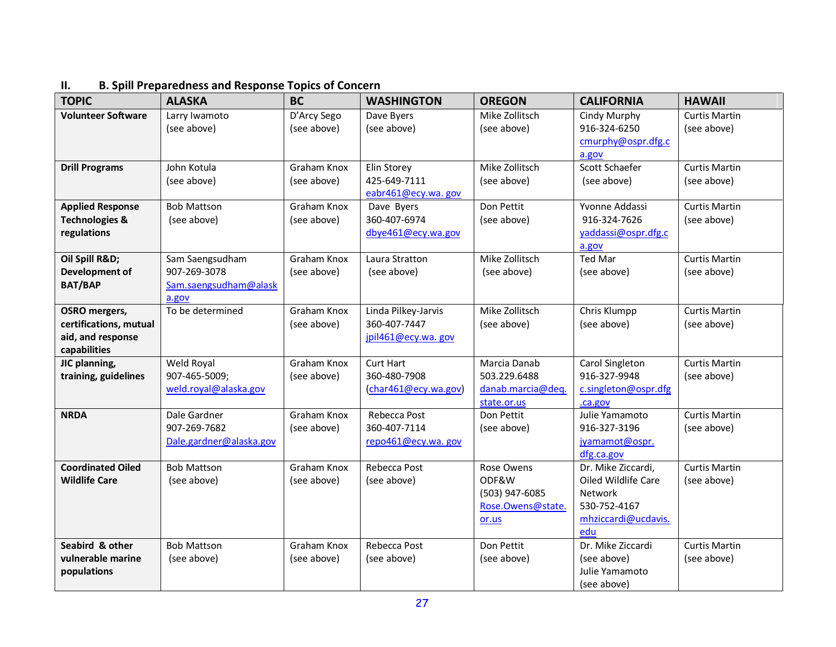| <b>TOPIC</b>                                                                        | <b>ALASKA</b>                                                     | <b>BC</b>                  | <b>WASHINGTON</b>                                         | <b>OREGON</b>                                                       | <b>CALIFORNIA</b>                                                                                         | <b>HAWAII</b>                       |
|-------------------------------------------------------------------------------------|-------------------------------------------------------------------|----------------------------|-----------------------------------------------------------|---------------------------------------------------------------------|-----------------------------------------------------------------------------------------------------------|-------------------------------------|
| <b>Volunteer Software</b>                                                           | Larry Iwamoto<br>(see above)                                      | D'Arcy Sego<br>(see above) | Dave Byers<br>(see above)                                 | Mike Zollitsch<br>(see above)                                       | Cindy Murphy<br>916-324-6250<br>cmurphy@ospr.dfg.c<br>a.gov                                               | <b>Curtis Martin</b><br>(see above) |
| <b>Drill Programs</b>                                                               | John Kotula<br>(see above)                                        | Graham Knox<br>(see above) | Elin Storey<br>425-649-7111<br>eabr461@ecy.wa.gov         | Mike Zollitsch<br>(see above)                                       | Scott Schaefer<br>(see above)                                                                             | <b>Curtis Martin</b><br>(see above) |
| <b>Applied Response</b><br><b>Technologies &amp;</b><br>regulations                 | <b>Bob Mattson</b><br>(see above)                                 | Graham Knox<br>(see above) | Dave Byers<br>360-407-6974<br>dbye461@ecy.wa.gov          | Don Pettit<br>(see above)                                           | Yvonne Addassi<br>916-324-7626<br>yaddassi@ospr.dfg.c<br>a.gov                                            | <b>Curtis Martin</b><br>(see above) |
| Oil Spill R&D<br>Development of<br><b>BAT/BAP</b>                                   | Sam Saengsudham<br>907-269-3078<br>Sam.saengsudham@alask<br>a.gov | Graham Knox<br>(see above) | Laura Stratton<br>(see above)                             | Mike Zollitsch<br>(see above)                                       | <b>Ted Mar</b><br>(see above)                                                                             | <b>Curtis Martin</b><br>(see above) |
| <b>OSRO</b> mergers,<br>certifications, mutual<br>aid, and response<br>capabilities | To be determined                                                  | Graham Knox<br>(see above) | Linda Pilkey-Jarvis<br>360-407-7447<br>jpil461@ecy.wa.gov | Mike Zollitsch<br>(see above)                                       | Chris Klumpp<br>(see above)                                                                               | <b>Curtis Martin</b><br>(see above) |
| JIC planning,<br>training, guidelines                                               | Weld Royal<br>907-465-5009;<br>weld.royal@alaska.gov              | Graham Knox<br>(see above) | <b>Curt Hart</b><br>360-480-7908<br>(char461@ecy.wa.gov)  | Marcia Danab<br>503.229.6488<br>danab.marcia@deq.<br>state.or.us    | Carol Singleton<br>916-327-9948<br>c.singleton@ospr.dfg<br>.ca.gov                                        | <b>Curtis Martin</b><br>(see above) |
| <b>NRDA</b>                                                                         | Dale Gardner<br>907-269-7682<br>Dale.gardner@alaska.gov           | Graham Knox<br>(see above) | Rebecca Post<br>360-407-7114<br>repo461@ecy.wa.gov        | Don Pettit<br>(see above)                                           | Julie Yamamoto<br>916-327-3196<br>jyamamot@ospr.<br>dfg.ca.gov                                            | <b>Curtis Martin</b><br>(see above) |
| <b>Coordinated Oiled</b><br><b>Wildlife Care</b>                                    | <b>Bob Mattson</b><br>(see above)                                 | Graham Knox<br>(see above) | Rebecca Post<br>(see above)                               | Rose Owens<br>ODF&W<br>(503) 947-6085<br>Rose.Owens@state.<br>or.us | Dr. Mike Ziccardi,<br>Oiled Wildlife Care<br><b>Network</b><br>530-752-4167<br>mhziccardi@ucdavis.<br>edu | <b>Curtis Martin</b><br>(see above) |
| Seabird & other<br>vulnerable marine<br>populations                                 | <b>Bob Mattson</b><br>(see above)                                 | Graham Knox<br>(see above) | Rebecca Post<br>(see above)                               | Don Pettit<br>(see above)                                           | Dr. Mike Ziccardi<br>(see above)<br>Julie Yamamoto<br>(see above)                                         | <b>Curtis Martin</b><br>(see above) |

### **II. B. Spill Preparedness and Response Topics of Concern**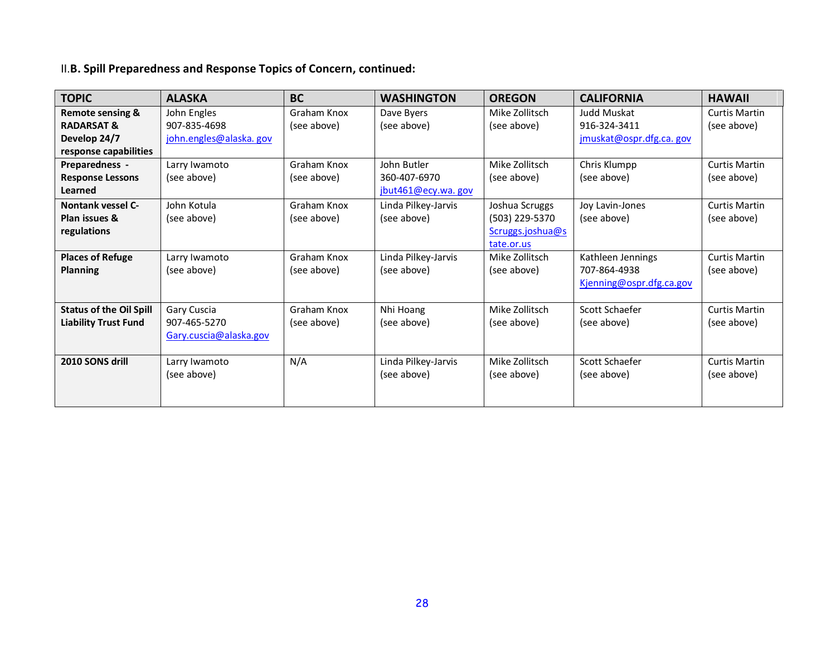# II.**B. Spill Preparedness and Response Topics of Concern, continued:**

| <b>TOPIC</b>                   | <b>ALASKA</b>          | <b>BC</b>   | <b>WASHINGTON</b>   | <b>OREGON</b>    | <b>CALIFORNIA</b>        | <b>HAWAII</b>        |
|--------------------------------|------------------------|-------------|---------------------|------------------|--------------------------|----------------------|
| <b>Remote sensing &amp;</b>    | John Engles            | Graham Knox | Dave Byers          | Mike Zollitsch   | Judd Muskat              | <b>Curtis Martin</b> |
| <b>RADARSAT &amp;</b>          | 907-835-4698           | (see above) | (see above)         | (see above)      | 916-324-3411             | (see above)          |
| Develop 24/7                   | john.engles@alaska.gov |             |                     |                  | jmuskat@ospr.dfg.ca. gov |                      |
| response capabilities          |                        |             |                     |                  |                          |                      |
| Preparedness -                 | Larry Iwamoto          | Graham Knox | John Butler         | Mike Zollitsch   | Chris Klumpp             | <b>Curtis Martin</b> |
| <b>Response Lessons</b>        | (see above)            | (see above) | 360-407-6970        | (see above)      | (see above)              | (see above)          |
| Learned                        |                        |             | jbut461@ecy.wa. gov |                  |                          |                      |
| <b>Nontank vessel C-</b>       | John Kotula            | Graham Knox | Linda Pilkey-Jarvis | Joshua Scruggs   | Joy Lavin-Jones          | <b>Curtis Martin</b> |
| Plan issues &                  | (see above)            | (see above) | (see above)         | (503) 229-5370   | (see above)              | (see above)          |
| regulations                    |                        |             |                     | Scruggs.joshua@s |                          |                      |
|                                |                        |             |                     | tate.or.us       |                          |                      |
| <b>Places of Refuge</b>        | Larry Iwamoto          | Graham Knox | Linda Pilkey-Jarvis | Mike Zollitsch   | Kathleen Jennings        | <b>Curtis Martin</b> |
| <b>Planning</b>                | (see above)            | (see above) | (see above)         | (see above)      | 707-864-4938             | (see above)          |
|                                |                        |             |                     |                  | Kjenning@ospr.dfg.ca.gov |                      |
|                                |                        |             |                     |                  |                          |                      |
| <b>Status of the Oil Spill</b> | Gary Cuscia            | Graham Knox | Nhi Hoang           | Mike Zollitsch   | Scott Schaefer           | <b>Curtis Martin</b> |
| <b>Liability Trust Fund</b>    | 907-465-5270           | (see above) | (see above)         | (see above)      | (see above)              | (see above)          |
|                                | Gary.cuscia@alaska.gov |             |                     |                  |                          |                      |
|                                |                        |             |                     |                  |                          |                      |
| 2010 SONS drill                | Larry Iwamoto          | N/A         | Linda Pilkey-Jarvis | Mike Zollitsch   | Scott Schaefer           | <b>Curtis Martin</b> |
|                                | (see above)            |             | (see above)         | (see above)      | (see above)              | (see above)          |
|                                |                        |             |                     |                  |                          |                      |
|                                |                        |             |                     |                  |                          |                      |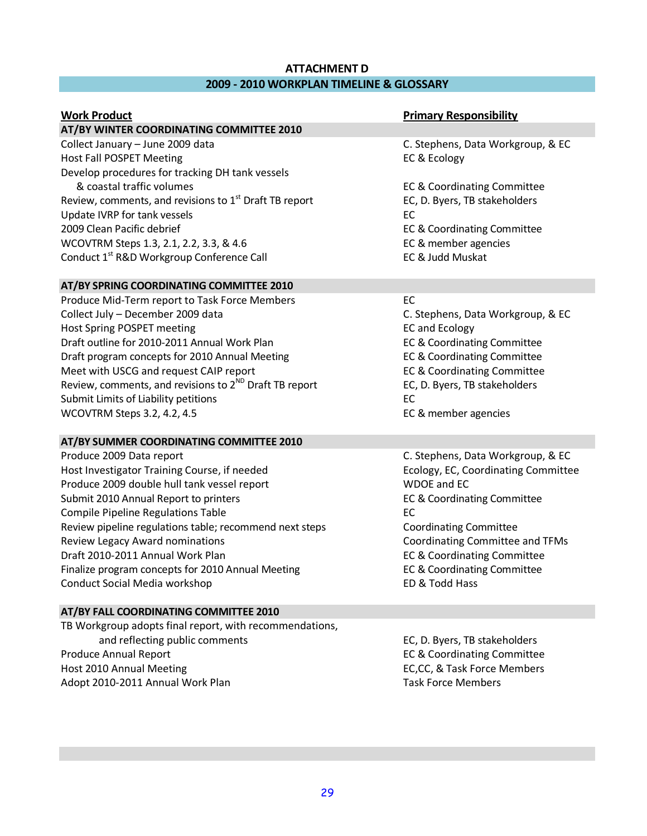### **ATTACHMENT D 2009 - 2010 WORKPLAN TIMELINE & GLOSSARY**

#### **AT/BY WINTER COORDINATING COMMITTEE 2010**

Collect January – June 2009 data C. Stephens, Data Workgroup, & EC Host Fall POSPET Meeting **EXACTES EXACTES** EC & Ecology Develop procedures for tracking DH tank vessels & coastal traffic volumes EC & Coordinating Committee Review, comments, and revisions to 1<sup>st</sup> Draft TB report Fund EC, D. Byers, TB stakeholders Update IVRP for tank vessels **EC** 2009 Clean Pacific debrief EC & Coordinating Committee WCOVTRM Steps 1.3, 2.1, 2.2, 3.3, & 4.6 EC & member agencies Conduct 1<sup>st</sup> R&D Workgroup Conference Call **EC & Judd Muskat** 

#### **AT/BY SPRING COORDINATING COMMITTEE 2010**

Produce Mid-Term report to Task Force Members EC Collect July – December 2009 data C. Stephens, Data Workgroup, & EC Host Spring POSPET meeting EC and Ecology Draft outline for 2010-2011 Annual Work Plan **EXA EXAM** EC & Coordinating Committee Draft program concepts for 2010 Annual Meeting **EC & Coordinating Committee** Meet with USCG and request CAIP report EC & Coordinating Committee Review, comments, and revisions to  $2^{ND}$  Draft TB report EC, D. Byers, TB stakeholders Submit Limits of Liability petitions EC WCOVTRM Steps 3.2, 4.2, 4.5 EC & member agencies

#### **AT/BY SUMMER COORDINATING COMMITTEE 2010**

Produce 2009 Data report C. Stephens, Data Workgroup, & EC Host Investigator Training Course, if needed Ecology, EC, Coordinating Committee Produce 2009 double hull tank vessel report WDOE and EC Submit 2010 Annual Report to printers **EC & Coordinating Committee** Compile Pipeline Regulations Table **EC** Review pipeline regulations table; recommend next steps Coordinating Committee Review Legacy Award nominations Coordinating Committee and TFMs Draft 2010-2011 Annual Work Plan **EC & Coordinating Committee** Finalize program concepts for 2010 Annual Meeting **EC & Coordinating Committee** Conduct Social Media workshop ED & Todd Hass

#### **AT/BY FALL COORDINATING COMMITTEE 2010**

TB Workgroup adopts final report, with recommendations, and reflecting public comments **EC, D. Byers, TB stakeholders** EC, D. Byers, TB stakeholders Produce Annual Report **EC & Coordinating Committee** Host 2010 Annual Meeting EC,CC, & Task Force Members Adopt 2010-2011 Annual Work Plan Task Force Members

#### **Primary Responsibility Primary Responsibility**